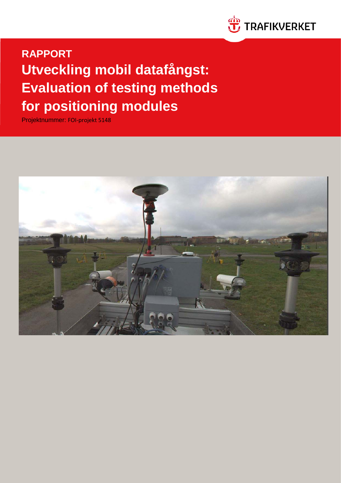

**RAPPORT Utveckling mobil datafångst: Evaluation of testing methods for positioning modules**

Projektnummer: FOI-projekt 5148

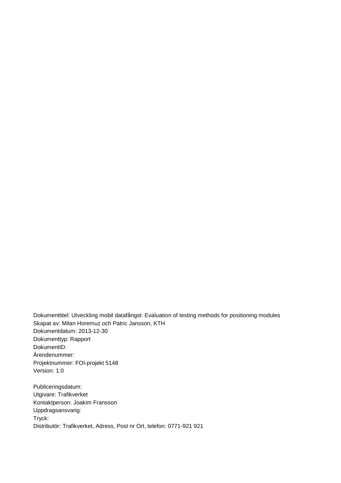Dokumenttitel: Utveckling mobil datafångst: Evaluation of testing methods for positioning modules Skapat av: Milan Horemuz och Patric Jansson, KTH Dokumentdatum: 2013-12-30 Dokumenttyp: Rapport DokumentID: Ärendenummer: Projektnummer: FOI-projekt 5148 Version: 1.0

Publiceringsdatum: Utgivare: Trafikverket Kontaktperson: Joakim Fransson Uppdragsansvarig: Tryck: Distributör: Trafikverket, Adress, Post nr Ort, telefon: 0771-921 921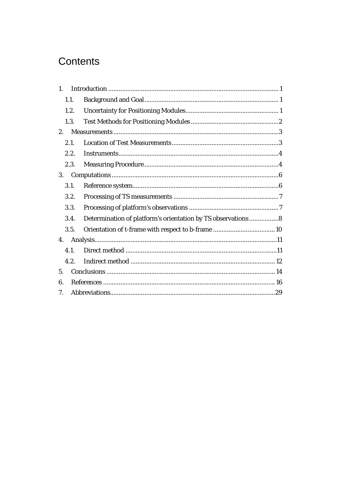# Contents

| 1.   |                                                             |
|------|-------------------------------------------------------------|
| 1.1. |                                                             |
| 1.2. |                                                             |
| 1.3. |                                                             |
| 2.   |                                                             |
| 2.1. |                                                             |
| 2.2. |                                                             |
| 2.3. |                                                             |
| 3.   |                                                             |
| 3.1. |                                                             |
| 3.2. |                                                             |
| 3.3. |                                                             |
| 3.4. | Determination of platform's orientation by TS observations8 |
| 3.5. |                                                             |
| 4.   |                                                             |
| 4.1. |                                                             |
| 4.2. |                                                             |
| 5.   |                                                             |
| 6.   |                                                             |
| 7.   |                                                             |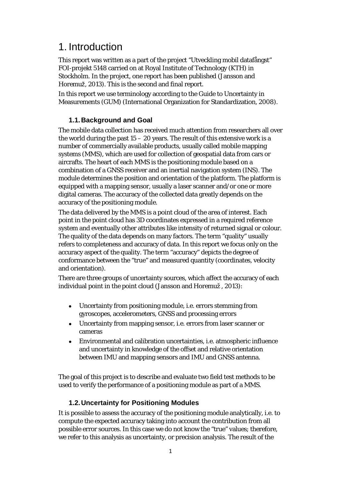### <span id="page-3-0"></span>1. Introduction

This report was written as a part of the project "Utveckling mobil datafångst" FOI-projekt 5148 carried on at Royal Institute of Technology (KTH) in Stockholm. In the project, one report has been published (Jansson and Horemuž, 2013). This is the second and final report.

<span id="page-3-1"></span>In this report we use terminology according to the Guide to Uncertainty in Measurements (GUM) (International Organization for Standardization, 2008).

### **1.1.Background and Goal**

The mobile data collection has received much attention from researchers all over the world during the past  $15 - 20$  years. The result of this extensive work is a number of commercially available products, usually called mobile mapping systems (MMS), which are used for collection of geospatial data from cars or aircrafts. The heart of each MMS is the positioning module based on a combination of a GNSS receiver and an inertial navigation system (INS). The module determines the position and orientation of the platform. The platform is equipped with a mapping sensor, usually a laser scanner and/or one or more digital cameras. The accuracy of the collected data greatly depends on the accuracy of the positioning module.

The data delivered by the MMS is a point cloud of the area of interest. Each point in the point cloud has 3D coordinates expressed in a required reference system and eventually other attributes like intensity of returned signal or colour. The quality of the data depends on many factors. The term "quality" usually refers to completeness and accuracy of data. In this report we focus only on the accuracy aspect of the quality. The term "accuracy" depicts the degree of conformance between the "true" and measured quantity (coordinates, velocity and orientation).

There are three groups of uncertainty sources, which affect the accuracy of each individual point in the point cloud (Jansson and Horemuž , 2013):

- Uncertainty from positioning module, i.e. errors stemming from gyroscopes, accelerometers, GNSS and processing errors
- Uncertainty from mapping sensor, i.e. errors from laser scanner or cameras
- Environmental and calibration uncertainties, i.e. atmospheric influence and uncertainty in knowledge of the offset and relative orientation between IMU and mapping sensors and IMU and GNSS antenna.

The goal of this project is to describe and evaluate two field test methods to be used to verify the performance of a positioning module as part of a MMS.

### <span id="page-3-2"></span>**1.2.Uncertainty for Positioning Modules**

It is possible to assess the accuracy of the positioning module analytically, i.e. to compute the expected accuracy taking into account the contribution from all possible error sources. In this case we do not know the "true" values; therefore, we refer to this analysis as uncertainty, or precision analysis. The result of the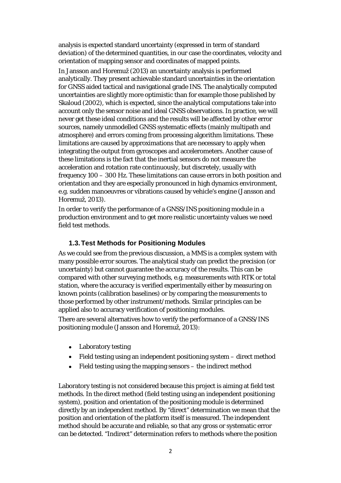analysis is expected standard uncertainty (expressed in term of standard deviation) of the determined quantities, in our case the coordinates, velocity and orientation of mapping sensor and coordinates of mapped points.

In Jansson and Horemuž (2013) an uncertainty analysis is performed analytically. They present achievable standard uncertainties in the orientation for GNSS aided tactical and navigational grade INS. The analytically computed uncertainties are slightly more optimistic than for example those published by Skaloud (2002), which is expected, since the analytical computations take into account only the sensor noise and ideal GNSS observations. In practice, we will never get these ideal conditions and the results will be affected by other error sources, namely unmodelled GNSS systematic effects (mainly multipath and atmosphere) and errors coming from processing algorithm limitations. These limitations are caused by approximations that are necessary to apply when integrating the output from gyroscopes and accelerometers. Another cause of these limitations is the fact that the inertial sensors do not measure the acceleration and rotation rate continuously, but discretely, usually with frequency 100 – 300 Hz. These limitations can cause errors in both position and orientation and they are especially pronounced in high dynamics environment, e.g. sudden manoeuvres or vibrations caused by vehicle's engine (Jansson and Horemuž, 2013).

In order to verify the performance of a GNSS/INS positioning module in a production environment and to get more realistic uncertainty values we need field test methods.

### <span id="page-4-0"></span>**1.3.Test Methods for Positioning Modules**

As we could see from the previous discussion, a MMS is a complex system with many possible error sources. The analytical study can predict the precision (or uncertainty) but cannot guarantee the accuracy of the results. This can be compared with other surveying methods, e.g. measurements with RTK or total station, where the accuracy is verified experimentally either by measuring on known points (calibration baselines) or by comparing the measurements to those performed by other instrument/methods. Similar principles can be applied also to accuracy verification of positioning modules.

There are several alternatives how to verify the performance of a GNSS/INS positioning module (Jansson and Horemuž, 2013):

- Laboratory testing
- Field testing using an independent positioning system direct method
- Field testing using the mapping sensors the indirect method

Laboratory testing is not considered because this project is aiming at field test methods. In the direct method (field testing using an independent positioning system), position and orientation of the positioning module is determined directly by an independent method. By "direct" determination we mean that the position and orientation of the platform itself is measured. The independent method should be accurate and reliable, so that any gross or systematic error can be detected. "Indirect" determination refers to methods where the position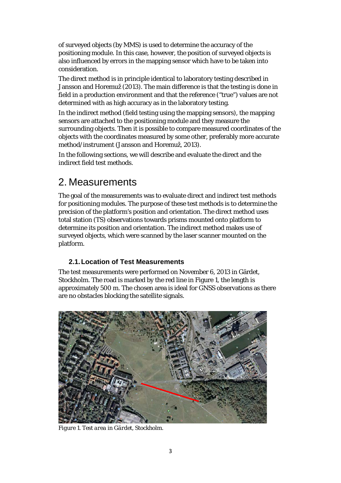of surveyed objects (by MMS) is used to determine the accuracy of the positioning module. In this case, however, the position of surveyed objects is also influenced by errors in the mapping sensor which have to be taken into consideration.

The direct method is in principle identical to laboratory testing described in Jansson and Horemuž (2013). The main difference is that the testing is done in field in a production environment and that the reference ("true") values are not determined with as high accuracy as in the laboratory testing.

In the indirect method (field testing using the mapping sensors), the mapping sensors are attached to the positioning module and they measure the surrounding objects. Then it is possible to compare measured coordinates of the objects with the coordinates measured by some other, preferably more accurate method/instrument (Jansson and Horemuž, 2013).

In the following sections, we will describe and evaluate the direct and the indirect field test methods.

### <span id="page-5-0"></span>2. Measurements

The goal of the measurements was to evaluate direct and indirect test methods for positioning modules. The purpose of these test methods is to determine the precision of the platform's position and orientation. The direct method uses total station (TS) observations towards prisms mounted onto platform to determine its position and orientation. The indirect method makes use of surveyed objects, which were scanned by the laser scanner mounted on the platform.

### <span id="page-5-1"></span>**2.1.Location of Test Measurements**

The test measurements were performed on November 6, 2013 in Gärdet, Stockholm. The road is marked by the red line i[n Figure 1,](#page-5-2) the length is approximately 500 m. The chosen area is ideal for GNSS observations as there are no obstacles blocking the satellite signals.

<span id="page-5-2"></span>

*Figure 1. Test area in Gärdet, Stockholm.*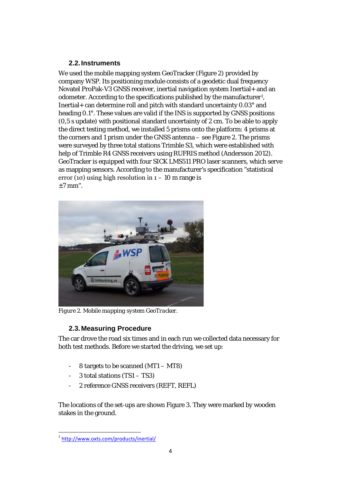### <span id="page-6-0"></span>**2.2.Instruments**

We used the mobile mapping system GeoTracker [\(Figure 2\)](#page-6-2) provided by company WSP. Its positioning module consists of a geodetic dual frequency Novatel ProPak-V3 GNSS receiver, inertial navigation system Inertial+ and an odometer. According to the specifications published by the manufacturer<sup>[1](#page-6-3)</sup>, Inertial+ can determine roll and pitch with standard uncertainty 0.03° and heading 0.1°. These values are valid if the INS is supported by GNSS positions (0,5 s update) with positional standard uncertainty of 2 cm. To be able to apply the direct testing method, we installed 5 prisms onto the platform: 4 prisms at the corners and 1 prism under the GNSS antenna – see [Figure 2.](#page-6-2) The prisms were surveyed by three total stations Trimble S3, which were established with help of Trimble R4 GNSS receivers using RUFRIS method (Andersson 2012). GeoTracker is equipped with four SICK LMS511 PRO laser scanners, which serve as mapping sensors. According to the manufacturer's specification "statistical error (1 $\sigma$ ) using high resolution in 1 – 10 m range is  $±7$  mm".



*Figure 2. Mobile mapping system GeoTracker.*

### <span id="page-6-2"></span><span id="page-6-1"></span>**2.3.Measuring Procedure**

The car drove the road six times and in each run we collected data necessary for both test methods. Before we started the driving, we set up:

- 8 targets to be scanned (MT1 MT8)
- $3$  total stations (TS1 TS3)
- 2 reference GNSS receivers (REFT, REFL)

The locations of the set-ups are shown [Figure 3.](#page-7-0) They were marked by wooden stakes in the ground.

<span id="page-6-3"></span> <sup>1</sup> <http://www.oxts.com/products/inertial/>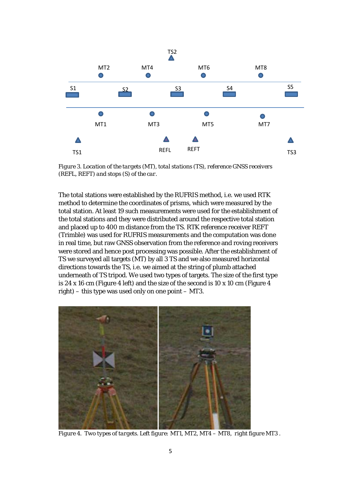

<span id="page-7-0"></span>*Figure 3. Location of the targets (MT), total stations (TS), reference GNSS receivers (REFL, REFT) and stops (S) of the car.* 

The total stations were established by the RUFRIS method, i.e. we used RTK method to determine the coordinates of prisms, which were measured by the total station. At least 19 such measurements were used for the establishment of the total stations and they were distributed around the respective total station and placed up to 400 m distance from the TS. RTK reference receiver REFT (Trimble) was used for RUFRIS measurements and the computation was done in real time, but raw GNSS observation from the reference and roving receivers were stored and hence post processing was possible. After the establishment of TS we surveyed all targets (MT) by all 3 TS and we also measured horizontal directions towards the TS, i.e. we aimed at the string of plumb attached underneath of TS tripod. We used two types of targets. The size of the first type is 24 x 16 cm [\(Figure 4](#page-7-1) left) and the size of the second is 10 x 10 cm [\(Figure 4](#page-7-1) right) – this type was used only on one point – MT3.

<span id="page-7-1"></span>

*Figure 4. Two types of targets. Left figure: MT1, MT2, MT4 – MT8, right figure MT3 .*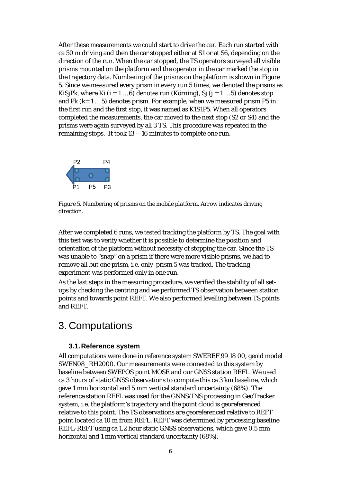After these measurements we could start to drive the car. Each run started with ca 50 m driving and then the car stopped either at S1 or at S6, depending on the direction of the run. When the car stopped, the TS operators surveyed all visible prisms mounted on the platform and the operator in the car marked the stop in the trajectory data. Numbering of the prisms on the platform is shown in [Figure](#page-8-2)  [5.](#page-8-2) Since we measured every prism in every run 5 times, we denoted the prisms as KiSjPk, where Ki (i = 1 ... 6) denotes run (Körning), Sj (j = 1 ... 5) denotes stop and Pk  $(k = 1 ... 5)$  denotes prism. For example, when we measured prism P5 in the first run and the first stop, it was named as K1S1P5. When all operators completed the measurements, the car moved to the next stop (S2 or S4) and the prisms were again surveyed by all 3 TS. This procedure was repeated in the remaining stops. It took 13 – 16 minutes to complete one run.



<span id="page-8-2"></span>*Figure 5. Numbering of prisms on the mobile platform. Arrow indicates driving direction.*

After we completed 6 runs, we tested tracking the platform by TS. The goal with this test was to verify whether it is possible to determine the position and orientation of the platform without necessity of stopping the car. Since the TS was unable to "snap" on a prism if there were more visible prisms, we had to remove all but one prism, i.e. only prism 5 was tracked. The tracking experiment was performed only in one run.

As the last steps in the measuring procedure, we verified the stability of all setups by checking the centring and we performed TS observation between station points and towards point REFT. We also performed levelling between TS points and REFT.

### <span id="page-8-1"></span><span id="page-8-0"></span>3. Computations

### **3.1.Reference system**

All computations were done in reference system SWEREF 99 18 00, geoid model SWEN08 RH2000. Our measurements were connected to this system by baseline between SWEPOS point MOSE and our GNSS station REFL. We used ca 3 hours of static GNSS observations to compute this ca 3 km baseline, which gave 1 mm horizontal and 5 mm vertical standard uncertainty (68%). The reference station REFL was used for the GNNS/INS processing in GeoTracker system, i.e. the platform's trajectory and the point cloud is georeferenced relative to this point. The TS observations are georeferenced relative to REFT point located ca 10 m from REFL. REFT was determined by processing baseline REFL-REFT using ca 1.2 hour static GNSS observations, which gave 0.5 mm horizontal and 1 mm vertical standard uncertainty (68%).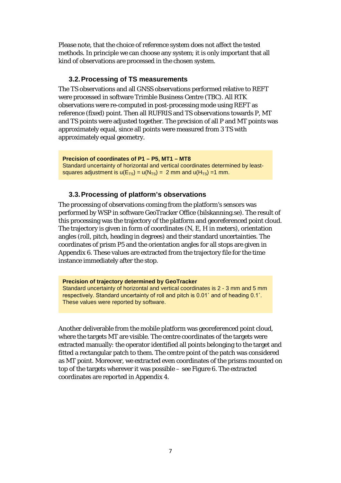Please note, that the choice of reference system does not affect the tested methods. In principle we can choose any system; it is only important that all kind of observations are processed in the chosen system.

### <span id="page-9-0"></span>**3.2.Processing of TS measurements**

The TS observations and all GNSS observations performed relative to REFT were processed in software Trimble Business Centre (TBC). All RTK observations were re-computed in post-processing mode using REFT as reference (fixed) point. Then all RUFRIS and TS observations towards P, MT and TS points were adjusted together. The precision of all P and MT points was approximately equal, since all points were measured from 3 TS with approximately equal geometry.

**Precision of coordinates of P1 – P5, MT1 – MT8** Standard uncertainty of horizontal and vertical coordinates determined by leastsquares adjustment is  $u(E_{TS}) = u(N_{TS}) = 2$  mm and  $u(H_{TS}) = 1$  mm.

### <span id="page-9-1"></span>**3.3.Processing of platform's observations**

The processing of observations coming from the platform's sensors was performed by WSP in software GeoTracker Office (bilskanning.se). The result of this processing was the trajectory of the platform and georeferenced point cloud. The trajectory is given in form of coordinates (N, E, H in meters), orientation angles (roll, pitch, heading in degrees) and their standard uncertainties. The coordinates of prism P5 and the orientation angles for all stops are given in Appendix 6. These values are extracted from the trajectory file for the time instance immediately after the stop.

**Precision of trajectory determined by GeoTracker** Standard uncertainty of horizontal and vertical coordinates is 2 - 3 mm and 5 mm respectively. Standard uncertainty of roll and pitch is 0.01˚ and of heading 0.1˚. These values were reported by software.

Another deliverable from the mobile platform was georeferenced point cloud, where the targets MT are visible. The centre coordinates of the targets were extracted manually: the operator identified all points belonging to the target and fitted a rectangular patch to them. The centre point of the patch was considered as MT point. Moreover, we extracted even coordinates of the prisms mounted on top of the targets wherever it was possible – see [Figure 6.](#page-10-1) The extracted coordinates are reported in Appendix 4.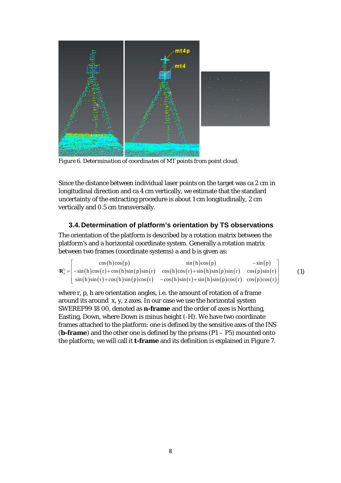

*Figure 6. Determination of coordinates of MT points from point cloud.*

<span id="page-10-1"></span>Since the distance between individual laser points on the target was ca 2 cm in longitudinal direction and ca 4 cm vertically, we estimate that the standard uncertainty of the extracting procedure is about 1 cm longitudinally, 2 cm vertically and 0.5 cm transversally.

### <span id="page-10-0"></span>**3.4.Determination of platform's orientation by TS observations**

The orientation of the platform is described by a rotation matrix between the platform's and a horizontal coordinate system. Generally a rotation matrix between two frames (coordinate systems) a and b is given as:

| cos(h)cos(p) | sin(h)cos(p)                                                                                                         | $-\sin(p)$ |     |
|--------------|----------------------------------------------------------------------------------------------------------------------|------------|-----|
|              | $\mathbf{R}_{a}^{b} = -\sin(h)\cos(r) + \cos(h)\sin(p)\sin(r) \cos(h)\cos(r) + \sin(h)\sin(p)\sin(r) \cos(p)\sin(r)$ |            | (1) |
|              | $\sin(h)\sin(r)+\cos(h)\sin(p)\cos(r) -\cos(h)\sin(r)+\sin(h)\sin(p)\cos(r) \cos(p)\cos(r)$                          |            |     |

where r, p, h are orientation angles, i.e. the amount of rotation of a frame around its around x, y, z axes. In our case we use the horizontal system SWEREF99 18 00, denoted as **n-frame** and the order of axes is Northing, Easting, Down, where Down is minus height (-H). We have two coordinate frames attached to the platform: one is defined by the sensitive axes of the INS (**b-frame**) and the other one is defined by the prisms (P1 – P5) mounted onto the platform; we will call it **t-frame** and its definition is explained in [Figure 7.](#page-11-0)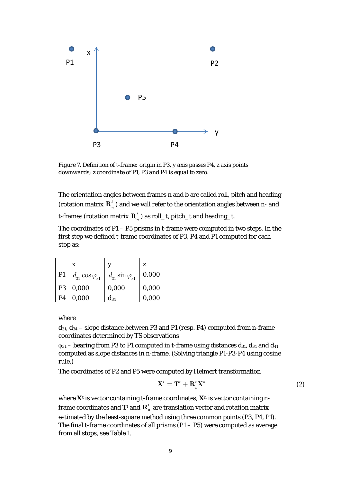

<span id="page-11-0"></span>*Figure 7. Definition of t-frame: origin in P3, y axis passes P4, z axis points downwards; z coordinate of P1, P3 and P4 is equal to zero.*

The orientation angles between frames n and b are called roll, pitch and heading (rotation matrix  $\mathbf{R}_{n}^{b}$ ) and we will refer to the orientation angles between n- and

t-frames (rotation matrix  $\mathbf{R}_n^t$ ) as roll\_t, pitch\_t and heading\_t.

The coordinates of  $P1 - P5$  prisms in t-frame were computed in two steps. In the first step we defined t-frame coordinates of P3, P4 and P1 computed for each stop as:

|                | X                          |                             | z     |
|----------------|----------------------------|-----------------------------|-------|
| P <sub>1</sub> | $d_{31} \cos \varphi_{31}$ | $d_{31}$ sin $\varphi_{31}$ | 0,000 |
| P <sub>3</sub> | 0,000                      | 0,000                       | 0,000 |
| P4             | 0,000                      | $d_{34}$                    | 0,000 |

where

 $d_{31}$ ,  $d_{34}$  – slope distance between P3 and P1 (resp. P4) computed from n-frame coordinates determined by TS observations

 $\varphi_{31}$  – bearing from P3 to P1 computed in t-frame using distances  $d_{31}$ ,  $d_{34}$  and  $d_{41}$ computed as slope distances in n-frame. (Solving triangle P1-P3-P4 using cosine rule.)

The coordinates of P2 and P5 were computed by Helmert transformation

$$
\mathbf{X}^t = \mathbf{T}^t + \mathbf{R}_n^t \mathbf{X}^n \tag{2}
$$

where  $X^t$  is vector containing t-frame coordinates,  $X^n$  is vector containing nframe coordinates and  $T^t$  and  $R^t$ <sub>n</sub> are translation vector and rotation matrix estimated by the least-square method using three common points (P3, P4, P1). The final t-frame coordinates of all prisms  $(P1 - P5)$  were computed as average from all stops, see [Table 1.](#page-12-1)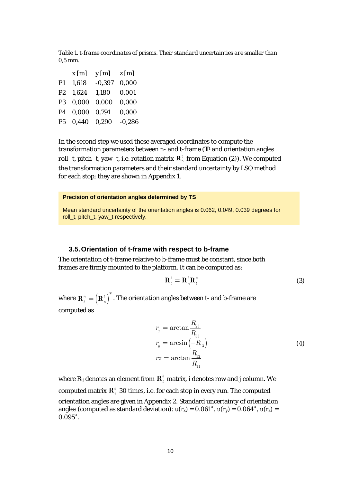<span id="page-12-1"></span>*Table 1. t-frame coordinates of prisms. Their standard uncertainties are smaller than 0,5 mm.* 

|                | x[m]        | $y$ [m]  | z[m]     |
|----------------|-------------|----------|----------|
| P <sub>1</sub> | 1,618       | $-0.397$ | 0,000    |
| P2             | 1,624       | 1,180    | 0,001    |
| <b>P3</b>      | 0,000       | 0,000    | 0,000    |
| <b>P4</b>      | 0,000       | 0.791    | 0,000    |
| P5             | 0,440 0,290 |          | $-0,286$ |

In the second step we used these averaged coordinates to compute the transformation parameters between n- and t-frame (**T**<sup>t</sup> and orientation angles roll\_t, pitch\_t, yaw\_t, i.e. rotation matrix  $\mathbf{R}_n^t$  from Equation (2)). We computed the transformation parameters and their standard uncertainty by LSQ method for each stop; they are shown in Appendix 1.

#### **Precision of orientation angles determined by TS**

Mean standard uncertainty of the orientation angles is 0.062, 0.049, 0.039 degrees for roll t, pitch t, yaw t respectively.

#### <span id="page-12-0"></span>**3.5.Orientation of t-frame with respect to b-frame**

The orientation of t-frame relative to b-frame must be constant, since both frames are firmly mounted to the platform. It can be computed as:

$$
\mathbf{R}_t^b = \mathbf{R}_n^b \mathbf{R}_t^n \tag{3}
$$

where  $\mathbf{R}_{_t}^{_n} = \left( \mathbf{R}_{_n}^{_t} \right)^T.$  The orientation angles between t- and b-frame are computed as

$$
r_x = \arctan \frac{R_{23}}{R_{33}}
$$
  
\n
$$
r_y = \arcsin \left(-R_{13}\right)
$$
  
\n
$$
rz = \arctan \frac{R_{12}}{R_{11}}
$$
\n(4)

where  $R_{ij}$  denotes an element from  $R_i^b$  matrix, i denotes row and j column. We computed matrix  $\mathbf{R}_{t}^{b}$  30 times, i.e. for each stop in every run. The computed orientation angles are given in Appendix 2. Standard uncertainty of orientation angles (computed as standard deviation):  $u(r_x) = 0.061^\circ$ ,  $u(r_y) = 0.064^\circ$ ,  $u(r_z) =$ 0.095˚.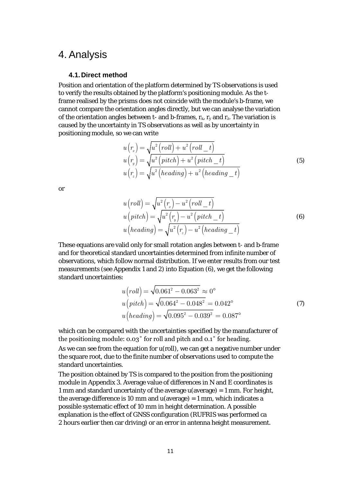### <span id="page-13-1"></span><span id="page-13-0"></span>4. Analysis

### **4.1.Direct method**

Position and orientation of the platform determined by TS observations is used to verify the results obtained by the platform's positioning module. As the tframe realised by the prisms does not coincide with the module's b-frame, we cannot compare the orientation angles directly, but we can analyse the variation of the orientation angles between t- and b-frames,  $r_x$ ,  $r_y$  and  $r_z$ . The variation is caused by the uncertainty in TS observations as well as by uncertainty in positioning module, so we can write

$$
u(r_x) = \sqrt{u^2 (roll) + u^2 (roll \_t)} \n u(r_y) = \sqrt{u^2 (pitch) + u^2 (pitch \_t)} \n u(r_z) = \sqrt{u^2 (heading) + u^2 (heading \_t)} \tag{5}
$$

or

$$
u\left(roll\right) = \sqrt{u^2\left(\frac{r_x}{x}\right) - u^2\left(roll_t\right)}u\left( pitch\right) = \sqrt{u^2\left(\frac{r_y}{y}\right) - u^2\left( pitch_t\right)}u\left( heading\right) = \sqrt{u^2\left(\frac{r_x}{x}\right) - u^2\left( heading_t\right)}\tag{6}
$$

These equations are valid only for small rotation angles between t- and b-frame and for theoretical standard uncertainties determined from infinite number of observations, which follow normal distribution. If we enter results from our test measurements (see Appendix 1 and 2) into Equation (6), we get the following standard uncertainties:

$$
u\left(roll\right) = \sqrt{0.061^2 - 0.063^2} \approx 0^{\circ}
$$
  
\n
$$
u\left( pitch\right) = \sqrt{0.064^2 - 0.048^2} = 0.042^{\circ}
$$
  
\n
$$
u\left( heading\right) = \sqrt{0.095^2 - 0.039^2} = 0.087^{\circ}
$$
\n(7)

which can be compared with the uncertainties specified by the manufacturer of the positioning module: 0.03˚ for roll and pitch and 0.1˚ for heading.

As we can see from the equation for u(roll), we can get a negative number under the square root, due to the finite number of observations used to compute the standard uncertainties.

The position obtained by TS is compared to the position from the positioning module in Appendix 3. Average value of differences in N and E coordinates is 1 mm and standard uncertainty of the average u(average) = 1 mm. For height, the average difference is 10 mm and  $u(average) = 1$  mm, which indicates a possible systematic effect of 10 mm in height determination. A possible explanation is the effect of GNSS configuration (RUFRIS was performed ca 2 hours earlier then car driving) or an error in antenna height measurement.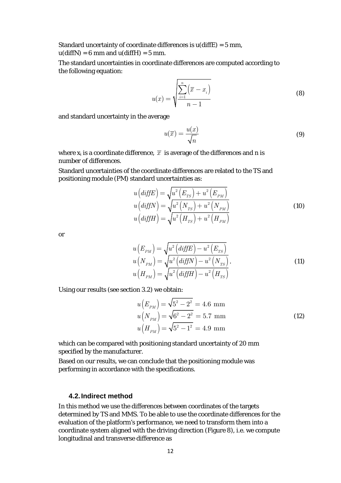Standard uncertainty of coordinate differences is  $u$ (diffE) = 5 mm,  $u(diffN) = 6$  mm and  $u(diffH) = 5$  mm.

The standard uncertainties in coordinate differences are computed according to the following equation:

$$
u(x) = \sqrt{\frac{\sum_{i=1}^{n} (\overline{x} - x_i)}{n-1}}
$$
 (8)

and standard uncertainty in the average

$$
u(\overline{x}) = \frac{u(x)}{\sqrt{n}}\tag{9}
$$

where  $x_i$  is a coordinate difference,  $\bar{x}$  is average of the differences and n is number of differences.

Standard uncertainties of the coordinate differences are related to the TS and positioning module (PM) standard uncertainties as:

$$
u\left(\text{diffE}\right) = \sqrt{u^2 \left(E_{TS}\right) + u^2 \left(E_{PM}\right)}
$$

$$
u\left(\text{diffN}\right) = \sqrt{u^2 \left(N_{TS}\right) + u^2 \left(N_{PM}\right)}
$$

$$
u\left(\text{diffH}\right) = \sqrt{u^2 \left(H_{TS}\right) + u^2 \left(H_{PM}\right)}
$$
(10)

or

$$
u(E_{PM}) = \sqrt{u^2 \left(\text{diff}E\right) - u^2 \left(E_{TS}\right)}
$$
  
\n
$$
u(N_{PM}) = \sqrt{u^2 \left(\text{diff}N\right) - u^2 \left(N_{TS}\right)}.
$$
  
\n
$$
u\left(H_{PM}\right) = \sqrt{u^2 \left(\text{diff}H\right) - u^2 \left(H_{TS}\right)}.
$$
\n(11)

Using our results (see section [3.2\)](#page-9-0) we obtain:

$$
u(E_{PM}) = \sqrt{5^2 - 2^2} = 4.6 \text{ mm}
$$
  
\n
$$
u(N_{PM}) = \sqrt{6^2 - 2^2} = 5.7 \text{ mm}
$$
  
\n
$$
u(H_{PM}) = \sqrt{5^2 - 1^2} = 4.9 \text{ mm}
$$
\n(12)

which can be compared with positioning standard uncertainty of 20 mm specified by the manufacturer.

Based on our results, we can conclude that the positioning module was performing in accordance with the specifications.

#### <span id="page-14-0"></span>**4.2.Indirect method**

In this method we use the differences between coordinates of the targets determined by TS and MMS. To be able to use the coordinate differences for the evaluation of the platform's performance, we need to transform them into a coordinate system aligned with the driving direction [\(Figure 8\)](#page-15-0), i.e. we compute longitudinal and transverse difference as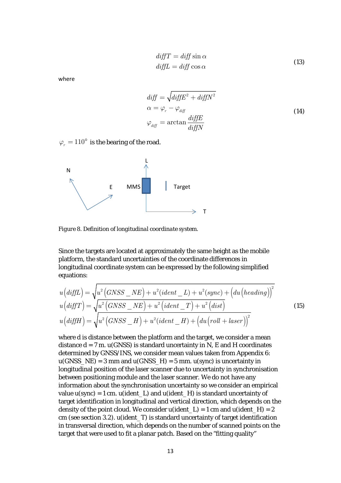$$
diffT = diff \sin \alpha
$$
  
diffL = diff \cos \alpha (13)

where

$$
diff = \sqrt{diffE^2 + diffN^2}
$$
  
\n
$$
\alpha = \varphi_r - \varphi_{diff}
$$
  
\n
$$
\varphi_{diff} = \arctan \frac{diffE}{diffN}
$$
\n(14)

 $\varphi$  = 110<sup>°</sup> is the bearing of the road.



<span id="page-15-0"></span>*Figure 8. Definition of longitudinal coordinate system.*

Since the targets are located at approximately the same height as the mobile platform, the standard uncertainties of the coordinate differences in longitudinal coordinate system can be expressed by the following simplified equations:

$$
u\left(diffL\right) = \sqrt{u^2 \left(GNSS - NE\right) + u^2(ident \_L) + u^2(sync)} + \left(du\left(heading\right)\right)^2
$$
  
\n
$$
u\left(diffT\right) = \sqrt{u^2 \left(GNSS - NE\right) + u^2\left(ident \_T\right) + u^2\left(dist\right)}
$$
  
\n
$$
u\left(diffH\right) = \sqrt{u^2 \left(GNSS - H\right) + u^2(ident \_H) + \left(du\left(roll + laser\right)\right)^2}
$$
\n(15)

where d is distance between the platform and the target, we consider a mean distance  $d = 7$  m.  $u(GNSS)$  is standard uncertainty in N, E and H coordinates determined by GNSS/INS, we consider mean values taken from Appendix 6:  $u(GNSS_N) = 3$  mm and  $u(GNSS_H) = 5$  mm.  $u(sync)$  is uncertainty in longitudinal position of the laser scanner due to uncertainty in synchronisation between positioning module and the laser scanner. We do not have any information about the synchronisation uncertainty so we consider an empirical value  $u(sync) = 1$  cm.  $u(ident L)$  and  $u(ident H)$  is standard uncertainty of target identification in longitudinal and vertical direction, which depends on the density of the point cloud. We consider  $u$ (ident\_L) = 1 cm and  $u$ (ident\_H) = 2 cm (see sectio[n 3.2\)](#page-9-0). u(ident\_T) is standard uncertainty of target identification in transversal direction, which depends on the number of scanned points on the target that were used to fit a planar patch. Based on the "fitting quality"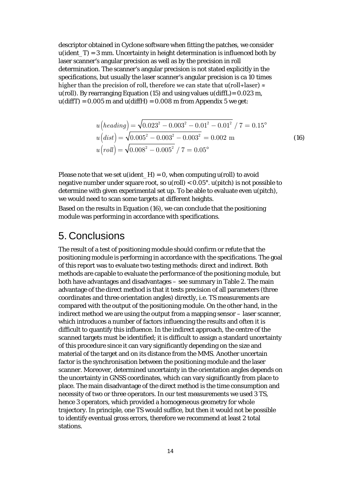descriptor obtained in Cyclone software when fitting the patches, we consider  $u(ident_T) = 3$  mm. Uncertainty in height determination is influenced both by laser scanner's angular precision as well as by the precision in roll determination. The scanner's angular precision is not stated explicitly in the specifications, but usually the laser scanner's angular precision is ca 10 times higher than the precision of roll, therefore we can state that u(roll+laser)  $\approx$ u(roll). By rearranging Equation (15) and using values  $u$ (diffL) = 0.023 m,  $u$ (diffT) = 0.005 m and  $u$ (diffH) = 0.008 m from Appendix 5 we get:

$$
u\left(heading\right) = \sqrt{0.023^2 - 0.003^2 - 0.01^2 - 0.01^2} / 7 = 0.15^{\circ}
$$
  
\n
$$
u\left(dist\right) = \sqrt{0.005^2 - 0.003^2 - 0.003^2} = 0.002 \text{ m}
$$
  
\n
$$
u\left(roll\right) = \sqrt{0.008^2 - 0.005^2} / 7 = 0.05^{\circ}
$$
 (16)

Please note that we set  $u(ident_H) = 0$ , when computing  $u(roll)$  to avoid negative number under square root, so  $u(roll) < 0.05^{\circ}$ .  $u(pitch)$  is not possible to determine with given experimental set up. To be able to evaluate even u(pitch), we would need to scan some targets at different heights.

Based on the results in Equation (16), we can conclude that the positioning module was performing in accordance with specifications.

### <span id="page-16-0"></span>5. Conclusions

The result of a test of positioning module should confirm or refute that the positioning module is performing in accordance with the specifications. The goal of this report was to evaluate two testing methods: direct and indirect. Both methods are capable to evaluate the performance of the positioning module, but both have advantages and disadvantages – see summary in [Table 2.](#page-17-0) The main advantage of the direct method is that it tests precision of all parameters (three coordinates and three orientation angles) directly, i.e. TS measurements are compared with the output of the positioning module. On the other hand, in the indirect method we are using the output from a mapping sensor – laser scanner, which introduces a number of factors influencing the results and often it is difficult to quantify this influence. In the indirect approach, the centre of the scanned targets must be identified; it is difficult to assign a standard uncertainty of this procedure since it can vary significantly depending on the size and material of the target and on its distance from the MMS. Another uncertain factor is the synchronisation between the positioning module and the laser scanner. Moreover, determined uncertainty in the orientation angles depends on the uncertainty in GNSS coordinates, which can vary significantly from place to place. The main disadvantage of the direct method is the time consumption and necessity of two or three operators. In our test measurements we used 3 TS, hence 3 operators, which provided a homogeneous geometry for whole trajectory. In principle, one TS would suffice, but then it would not be possible to identify eventual gross errors, therefore we recommend at least 2 total stations.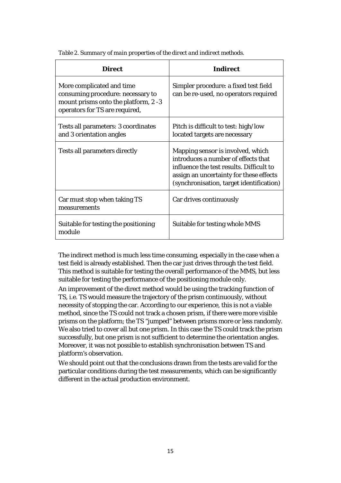| <b>Direct</b>                                                                                                                            | <b>Indirect</b>                                                                                                                                                                                             |
|------------------------------------------------------------------------------------------------------------------------------------------|-------------------------------------------------------------------------------------------------------------------------------------------------------------------------------------------------------------|
| More complicated and time<br>consuming procedure: necessary to<br>mount prisms onto the platform, 2 -3<br>operators for TS are required, | Simpler procedure: a fixed test field<br>can be re-used, no operators required                                                                                                                              |
| Tests all parameters: 3 coordinates<br>and 3 orientation angles                                                                          | Pitch is difficult to test: high/low<br>located targets are necessary                                                                                                                                       |
| <b>Tests all parameters directly</b>                                                                                                     | Mapping sensor is involved, which<br>introduces a number of effects that<br>influence the test results. Difficult to<br>assign an uncertainty for these effects<br>(synchronisation, target identification) |
| Car must stop when taking TS<br>measurements                                                                                             | Car drives continuously                                                                                                                                                                                     |
| Suitable for testing the positioning<br>module                                                                                           | Suitable for testing whole MMS                                                                                                                                                                              |

<span id="page-17-0"></span>*Table 2. Summary of main properties of the direct and indirect methods.*

The indirect method is much less time consuming, especially in the case when a test field is already established. Then the car just drives through the test field. This method is suitable for testing the overall performance of the MMS, but less suitable for testing the performance of the positioning module only.

An improvement of the direct method would be using the tracking function of TS, i.e. TS would measure the trajectory of the prism continuously, without necessity of stopping the car. According to our experience, this is not a viable method, since the TS could not track a chosen prism, if there were more visible prisms on the platform; the TS "jumped" between prisms more or less randomly. We also tried to cover all but one prism. In this case the TS could track the prism successfully, but one prism is not sufficient to determine the orientation angles. Moreover, it was not possible to establish synchronisation between TS and platform's observation.

We should point out that the conclusions drawn from the tests are valid for the particular conditions during the test measurements, which can be significantly different in the actual production environment.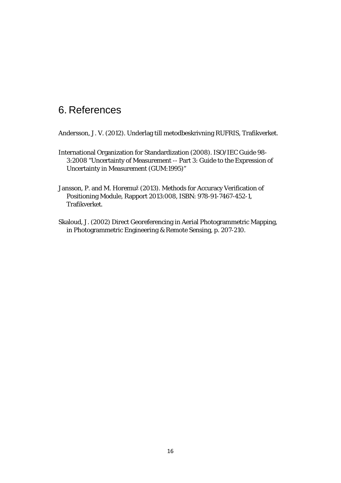### <span id="page-18-0"></span>6. References

Andersson, J. V. (2012). Underlag till metodbeskrivning RUFRIS, Trafikverket.

- International Organization for Standardization (2008). ISO/IEC Guide 98- 3:2008 "Uncertainty of Measurement -- Part 3: Guide to the Expression of Uncertainty in Measurement (GUM:1995)"
- Jansson, P. and M. Horemuž (2013). Methods for Accuracy Verification of Positioning Module, Rapport 2013:008, ISBN: 978-91-7467-452-1, Trafikverket.
- Skaloud, J. (2002) Direct Georeferencing in Aerial Photogrammetric Mapping, in Photogrammetric Engineering & Remote Sensing, p. 207-210.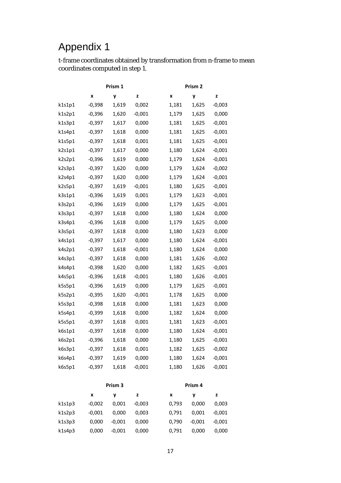t-frame coordinates obtained by transformation from n-frame to mean coordinates computed in step 1.

| Prism 1 |          | Prism <sub>2</sub> |          |                            |  |
|---------|----------|--------------------|----------|----------------------------|--|
|         | X        | y                  | z        | X<br>y<br>z                |  |
| k1s1p1  | $-0,398$ | 1,619              | 0,002    | 1,625<br>$-0,003$<br>1,181 |  |
| k1s2p1  | $-0,396$ | 1,620              | $-0,001$ | 1,179<br>1,625<br>0,000    |  |
| k1s3p1  | $-0,397$ | 1,617              | 0,000    | 1,181<br>1,625<br>$-0,001$ |  |
| k1s4p1  | $-0,397$ | 1,618              | 0,000    | 1,181<br>1,625<br>$-0,001$ |  |
| k1s5p1  | $-0,397$ | 1,618              | 0,001    | 1,181<br>1,625<br>$-0,001$ |  |
| k2s1p1  | $-0,397$ | 1,617              | 0,000    | 1,180<br>1,624<br>$-0,001$ |  |
| k2s2p1  | $-0,396$ | 1,619              | 0,000    | 1,179<br>1,624<br>$-0,001$ |  |
| k2s3p1  | -0,397   | 1,620              | 0,000    | $-0,002$<br>1,179<br>1,624 |  |
| k2s4p1  | $-0,397$ | 1,620              | 0,000    | 1,179<br>1,624<br>$-0,001$ |  |
| k2s5p1  | $-0,397$ | 1,619              | $-0,001$ | $-0,001$<br>1,180<br>1,625 |  |
| k3s1p1  | $-0,396$ | 1,619              | 0,001    | $-0,001$<br>1,179<br>1,623 |  |
| k3s2p1  | $-0,396$ | 1,619              | 0,000    | 1,179<br>1,625<br>$-0,001$ |  |
| k3s3p1  | $-0,397$ | 1,618              | 0,000    | 1,180<br>1,624<br>0,000    |  |
| k3s4p1  | $-0,396$ | 1,618              | 0,000    | 0,000<br>1,179<br>1,625    |  |
| k3s5p1  | $-0,397$ | 1,618              | 0,000    | 1,180<br>1,623<br>0,000    |  |
| k4s1p1  | $-0,397$ | 1,617              | 0,000    | 1,180<br>1,624<br>$-0,001$ |  |
| k4s2p1  | $-0,397$ | 1,618              | $-0,001$ | 0,000<br>1,180<br>1,624    |  |
| k4s3p1  | $-0,397$ | 1,618              | 0,000    | 1,181<br>1,626<br>$-0,002$ |  |
| k4s4p1  | $-0,398$ | 1,620              | 0,000    | 1,182<br>$-0,001$<br>1,625 |  |
| k4s5p1  | $-0,396$ | 1,618              | $-0,001$ | 1,180<br>1,626<br>$-0,001$ |  |
| k5s5p1  | $-0,396$ | 1,619              | 0,000    | 1,625<br>$-0,001$<br>1,179 |  |
| k5s2p1  | $-0,395$ | 1,620              | $-0,001$ | 1,178<br>1,625<br>0,000    |  |
| k5s3p1  | $-0,398$ | 1,618              | 0,000    | 1,181<br>0,000<br>1,623    |  |
| k5s4p1  | $-0,399$ | 1,618              | 0,000    | 0,000<br>1,182<br>1,624    |  |
| k5s5p1  | $-0,397$ | 1,618              | 0,001    | 1,181<br>$-0,001$<br>1,623 |  |
| k6s1p1  | $-0,397$ | 1,618              | 0,000    | 1,180<br>1,624<br>$-0,001$ |  |
| k6s2p1  | $-0,396$ | 1,618              | 0,000    | 1,180<br>1,625<br>$-0,001$ |  |
| k6s3p1  | $-0,397$ | 1,618              | 0,001    | 1,182<br>1,625<br>$-0,002$ |  |
| k6s4p1  | $-0,397$ | 1,619              | 0,000    | 1,180<br>1,624<br>$-0,001$ |  |
| k6s5p1  | $-0,397$ | 1,618              | $-0,001$ | 1,180<br>$-0,001$<br>1,626 |  |
|         |          | Prism <sub>3</sub> |          | Prism 4                    |  |

|        | x        | ν        | z        | x     | v        | z        |
|--------|----------|----------|----------|-------|----------|----------|
| k1s1p3 | $-0,002$ | 0.001    | $-0.003$ | 0,793 | 0,000    | 0,003    |
| k1s2p3 | $-0.001$ | 0.000    | 0.003    | 0.791 | 0.001    | $-0,001$ |
| k1s3p3 | 0,000    | $-0.001$ | 0.000    | 0.790 | $-0.001$ | $-0,001$ |
| k1s4p3 | 0,000    | $-0.001$ | 0.000    | 0,791 | 0.000    | 0,000    |
|        |          |          |          |       |          |          |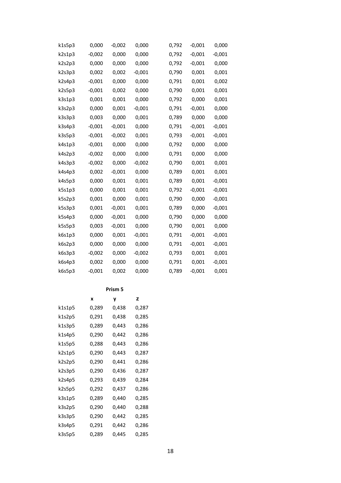| k1s5p3 | 0,000    | $-0,002$ | 0,000    | 0,792 | $-0,001$ | 0,000    |
|--------|----------|----------|----------|-------|----------|----------|
| k2s1p3 | $-0,002$ | 0,000    | 0,000    | 0,792 | $-0,001$ | $-0,001$ |
| k2s2p3 | 0,000    | 0,000    | 0,000    | 0,792 | $-0,001$ | 0,000    |
| k2s3p3 | 0,002    | 0,002    | $-0,001$ | 0,790 | 0,001    | 0,001    |
| k2s4p3 | $-0,001$ | 0,000    | 0,000    | 0,791 | 0,001    | 0,002    |
| k2s5p3 | $-0,001$ | 0,002    | 0,000    | 0,790 | 0,001    | 0,001    |
| k3s1p3 | 0,001    | 0,001    | 0,000    | 0,792 | 0,000    | 0,001    |
| k3s2p3 | 0,000    | 0,001    | $-0,001$ | 0,791 | $-0,001$ | 0,000    |
| k3s3p3 | 0,003    | 0,000    | 0,001    | 0,789 | 0,000    | 0,000    |
| k3s4p3 | $-0,001$ | $-0,001$ | 0,000    | 0,791 | $-0,001$ | $-0,001$ |
| k3s5p3 | $-0,001$ | $-0,002$ | 0,001    | 0,793 | $-0,001$ | $-0,001$ |
| k4s1p3 | $-0,001$ | 0,000    | 0,000    | 0,792 | 0,000    | 0,000    |
| k4s2p3 | $-0,002$ | 0,000    | 0,000    | 0,791 | 0,000    | 0,000    |
| k4s3p3 | $-0,002$ | 0,000    | $-0,002$ | 0,790 | 0,001    | 0,001    |
| k4s4p3 | 0,002    | $-0,001$ | 0,000    | 0,789 | 0,001    | 0,001    |
| k4s5p3 | 0,000    | 0,001    | 0,001    | 0,789 | 0,001    | $-0,001$ |
| k5s1p3 | 0,000    | 0,001    | 0,001    | 0,792 | $-0,001$ | $-0,001$ |
| k5s2p3 | 0,001    | 0,000    | 0,001    | 0,790 | 0,000    | $-0,001$ |
| k5s3p3 | 0,001    | $-0,001$ | 0,001    | 0,789 | 0,000    | $-0,001$ |
| k5s4p3 | 0,000    | $-0,001$ | 0,000    | 0,790 | 0,000    | 0,000    |
| k5s5p3 | 0,003    | $-0,001$ | 0,000    | 0,790 | 0,001    | 0,000    |
| k6s1p3 | 0,000    | 0,001    | $-0,001$ | 0,791 | $-0,001$ | $-0,001$ |
| k6s2p3 | 0,000    | 0,000    | 0,000    | 0,791 | $-0,001$ | $-0,001$ |
| k6s3p3 | $-0,002$ | 0,000    | $-0,002$ | 0,793 | 0,001    | 0,001    |
| k6s4p3 | 0,002    | 0,000    | 0,000    | 0,791 | 0,001    | $-0,001$ |
| k6s5p3 | $-0,001$ | 0,002    | 0,000    | 0,789 | $-0,001$ | 0,001    |

### **Prism 5**

|        | x     | <b>y</b> | $\mathbf{z}$ |
|--------|-------|----------|--------------|
| k1s1p5 | 0,289 | 0,438    | 0,287        |
| k1s2p5 | 0,291 | 0,438    | 0,285        |
| k1s3p5 | 0,289 | 0,443    | 0,286        |
| k1s4p5 | 0,290 | 0,442    | 0,286        |
| k1s5p5 | 0,288 | 0,443    | 0,286        |
| k2s1p5 | 0,290 | 0,443    | 0,287        |
| k2s2p5 | 0,290 | 0,441    | 0,286        |
| k2s3p5 | 0,290 | 0,436    | 0,287        |
| k2s4p5 | 0,293 | 0,439    | 0,284        |
| k2s5p5 | 0,292 | 0,437    | 0,286        |
| k3s1p5 | 0,289 | 0,440    | 0,285        |
| k3s2p5 | 0,290 | 0,440    | 0,288        |
| k3s3p5 | 0,290 | 0,442    | 0,285        |
| k3s4p5 | 0,291 | 0,442    | 0,286        |
| k3s5p5 | 0,289 | 0,445    | 0,285        |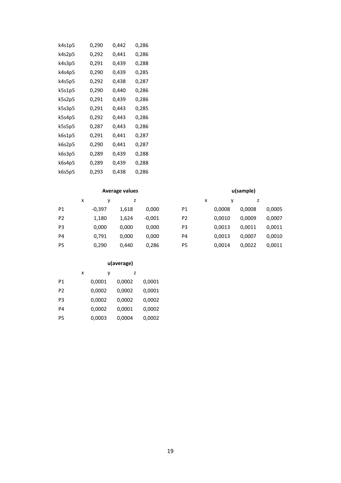| k4s1p5 | 0,290 | 0,442 | 0,286 |
|--------|-------|-------|-------|
| k4s2p5 | 0,292 | 0,441 | 0,286 |
| k4s3p5 | 0,291 | 0,439 | 0,288 |
| k4s4p5 | 0,290 | 0,439 | 0,285 |
| k4s5p5 | 0,292 | 0,438 | 0,287 |
| k5s1p5 | 0,290 | 0,440 | 0,286 |
| k5s2p5 | 0,291 | 0,439 | 0,286 |
| k5s3p5 | 0,291 | 0,443 | 0,285 |
| k5s4p5 | 0,292 | 0,443 | 0,286 |
| k5s5p5 | 0,287 | 0,443 | 0,286 |
| k6s1p5 | 0,291 | 0,441 | 0,287 |
| k6s2p5 | 0,290 | 0,441 | 0,287 |
| k6s3p5 | 0,289 | 0,439 | 0,288 |
| k6s4p5 | 0,289 | 0,439 | 0,288 |
| k6s5p5 | 0,293 | 0,438 | 0,286 |

### **Average values u(sample)**

|                | x |          |       |          |                | x |        |        |        |
|----------------|---|----------|-------|----------|----------------|---|--------|--------|--------|
| P1             |   | $-0,397$ | 1,618 | 0.000    | P1             |   | 0,0008 | 0,0008 | 0,0005 |
| P <sub>2</sub> |   | 1,180    | 1,624 | $-0.001$ | P <sub>2</sub> |   | 0,0010 | 0,0009 | 0,0007 |
| P <sub>3</sub> |   | 0,000    | 0.000 | 0.000    | P3             |   | 0,0013 | 0,0011 | 0,0011 |
| P <sub>4</sub> |   | 0,791    | 0.000 | 0.000    | P4             |   | 0,0013 | 0,0007 | 0,0010 |
| P <sub>5</sub> |   | 0,290    | 0.440 | 0,286    | P5             |   | 0,0014 | 0,0022 | 0,0011 |

### **u(average)**

|                | x |        | ٧ |        | z |        |
|----------------|---|--------|---|--------|---|--------|
| P1             |   | 0,0001 |   | 0,0002 |   | 0,0001 |
| P <sub>2</sub> |   | 0,0002 |   | 0,0002 |   | 0,0001 |
| P3             |   | 0,0002 |   | 0,0002 |   | 0,0002 |
| P4             |   | 0,0002 |   | 0,0001 |   | 0,0002 |
| Р5             |   | 0,0003 |   | 0,0004 |   | 0,0002 |

| x |        |        |        |
|---|--------|--------|--------|
|   | 0,0008 | 0,0008 | 0,0005 |
|   | 0,0010 | 0,0009 | 0,0007 |
|   | 0,0013 | 0,0011 | 0,0011 |
|   | 0,0013 | 0,0007 | 0,0010 |
|   | 0,0014 | 0,0022 | 0,0011 |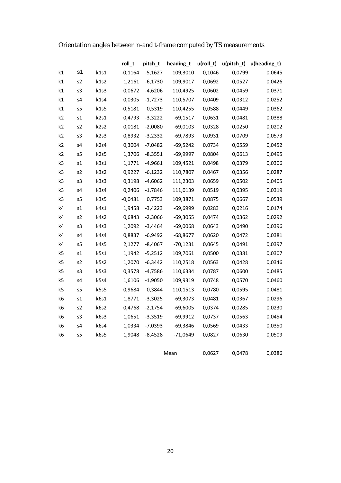### Orientation angles between n-and t-frame computed by TS measurements

|                |                |                  | roll_t    | pitch_t   | heading_t  | $u(roll_t)$ | $u(pitch_t)$ | u(heading_t) |
|----------------|----------------|------------------|-----------|-----------|------------|-------------|--------------|--------------|
| k1             | s1             | k1s1             | $-0,1164$ | $-5,1627$ | 109,3010   | 0,1046      | 0,0799       | 0,0645       |
| k1             | s2             | k1s2             | 1,2161    | $-6,1730$ | 109,9017   | 0,0692      | 0,0527       | 0,0426       |
| k1             | s3             | k1s3             | 0,0672    | $-4,6206$ | 110,4925   | 0,0602      | 0,0459       | 0,0371       |
| k1             | s4             | k1s4             | 0,0305    | $-1,7273$ | 110,5707   | 0,0409      | 0,0312       | 0,0252       |
| k1             | s5             | k1s5             | $-0,5181$ | 0,5319    | 110,4255   | 0,0588      | 0,0449       | 0,0362       |
| k <sub>2</sub> | s1             | k2s1             | 0,4793    | $-3,3222$ | $-69,1517$ | 0,0631      | 0,0481       | 0,0388       |
| k <sub>2</sub> | s2             | k <sub>2s2</sub> | 0,0181    | $-2,0080$ | $-69,0103$ | 0,0328      | 0,0250       | 0,0202       |
| k2             | s3             | k2s3             | 0,8932    | $-3,2332$ | $-69,7893$ | 0,0931      | 0,0709       | 0,0573       |
| k <sub>2</sub> | s4             | k2s4             | 0,3004    | $-7,0482$ | $-69,5242$ | 0,0734      | 0,0559       | 0,0452       |
| k <sub>2</sub> | s5             | k2s5             | 1,3706    | $-8,3551$ | $-69,9997$ | 0,0804      | 0,0613       | 0,0495       |
| k3             | s1             | k3s1             | 1,1771    | $-4,9661$ | 109,4521   | 0,0498      | 0,0379       | 0,0306       |
| k3             | s2             | k3s2             | 0,9227    | $-6,1232$ | 110,7807   | 0,0467      | 0,0356       | 0,0287       |
| k3             | s3             | k3s3             | 0,3198    | $-4,6062$ | 111,2303   | 0,0659      | 0,0502       | 0,0405       |
| k3             | s4             | k3s4             | 0,2406    | $-1,7846$ | 111,0139   | 0,0519      | 0,0395       | 0,0319       |
| k3             | s <sub>5</sub> | k3s5             | $-0,0481$ | 0,7753    | 109,3871   | 0,0875      | 0,0667       | 0,0539       |
| k4             | s1             | k4s1             | 1,9458    | $-3,4223$ | $-69,6999$ | 0,0283      | 0,0216       | 0,0174       |
| k4             | s2             | k4s2             | 0,6843    | $-2,3066$ | $-69,3055$ | 0,0474      | 0,0362       | 0,0292       |
| k4             | s3             | k4s3             | 1,2092    | $-3,4464$ | $-69,0068$ | 0,0643      | 0,0490       | 0,0396       |
| k4             | s4             | k4s4             | 0,8837    | $-6,9492$ | -68,8677   | 0,0620      | 0,0472       | 0,0381       |
| k4             | s5             | k4s5             | 2,1277    | $-8,4067$ | $-70,1231$ | 0,0645      | 0,0491       | 0,0397       |
| k5             | s1             | k5s1             | 1,1942    | $-5,2512$ | 109,7061   | 0,0500      | 0,0381       | 0,0307       |
| k5             | s2             | k5s2             | 1,2070    | $-6,3442$ | 110,2518   | 0,0563      | 0,0428       | 0,0346       |
| k5             | s3             | k5s3             | 0,3578    | $-4,7586$ | 110,6334   | 0,0787      | 0,0600       | 0,0485       |
| k5             | s4             | k5s4             | 1,6106    | $-1,9050$ | 109,9319   | 0,0748      | 0,0570       | 0,0460       |
| k5             | s <sub>5</sub> | k5s5             | 0,9684    | 0,3844    | 110,1513   | 0,0780      | 0,0595       | 0,0481       |
| k6             | s1             | k6s1             | 1,8771    | $-3,3025$ | $-69,3073$ | 0,0481      | 0,0367       | 0,0296       |
| k6             | s2             | k6s2             | 0,4768    | $-2,1754$ | $-69,6005$ | 0,0374      | 0,0285       | 0,0230       |
| k6             | s3             | k6s3             | 1,0651    | $-3,3519$ | $-69,9912$ | 0,0737      | 0,0563       | 0,0454       |
| k6             | s4             | k6s4             | 1,0334    | $-7,0393$ | $-69,3846$ | 0,0569      | 0,0433       | 0,0350       |
| k6             | s5             | k6s5             | 1,9048    | $-8,4528$ | $-71,0649$ | 0,0827      | 0,0630       | 0,0509       |
|                |                |                  |           |           |            |             |              |              |

Mean 0,0627 0,0478 0,0386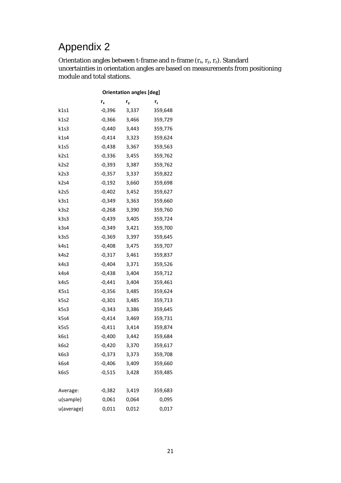Orientation angles between t-frame and n-frame  $(r_x, r_y, r_z)$ . Standard uncertainties in orientation angles are based on measurements from positioning module and total stations.

|            |          | <b>Orientation angles [deg]</b> |         |
|------------|----------|---------------------------------|---------|
|            | $r_{x}$  | r <sub>y</sub>                  | r,      |
| k1s1       | -0,396   | 3,337                           | 359,648 |
| k1s2       | -0,366   | 3,466                           | 359,729 |
| k1s3       | $-0,440$ | 3,443                           | 359,776 |
| k1s4       | -0,414   | 3,323                           | 359,624 |
| k1s5       | $-0,438$ | 3,367                           | 359,563 |
| k2s1       | -0,336   | 3,455                           | 359,762 |
| k2s2       | -0,393   | 3,387                           | 359,762 |
| k2s3       | -0,357   | 3,337                           | 359,822 |
| k2s4       | -0,192   | 3,660                           | 359,698 |
| k2s5       | -0,402   | 3,452                           | 359,627 |
| k3s1       | -0,349   | 3,363                           | 359,660 |
| k3s2       | $-0,268$ | 3,390                           | 359,760 |
| k3s3       | $-0,439$ | 3,405                           | 359,724 |
| k3s4       | $-0,349$ | 3,421                           | 359,700 |
| k3s5       | -0,369   | 3,397                           | 359,645 |
| k4s1       | -0,408   | 3,475                           | 359,707 |
| k4s2       | $-0,317$ | 3,461                           | 359,837 |
| k4s3       | -0,404   | 3,371                           | 359,526 |
| k4s4       | -0,438   | 3,404                           | 359,712 |
| k4s5       | -0,441   | 3,404                           | 359,461 |
| K5s1       | -0,356   | 3,485                           | 359,624 |
| k5s2       | -0,301   | 3,485                           | 359,713 |
| k5s3       | -0,343   | 3,386                           | 359,645 |
| k5s4       | $-0,414$ | 3,469                           | 359,731 |
| k5s5       | -0,411   | 3,414                           | 359,874 |
| k6s1       | -0,400   | 3,442                           | 359,684 |
| k6s2       | -0,420   | 3,370                           | 359,617 |
| k6s3       | $-0,373$ | 3,373                           | 359,708 |
| k6s4       | $-0,406$ | 3,409                           | 359,660 |
| k6s5       | $-0,515$ | 3,428                           | 359,485 |
|            |          |                                 |         |
| Average:   | $-0,382$ | 3,419                           | 359,683 |
| u(sample)  | 0,061    | 0,064                           | 0,095   |
| u(average) | 0,011    | 0,012                           | 0,017   |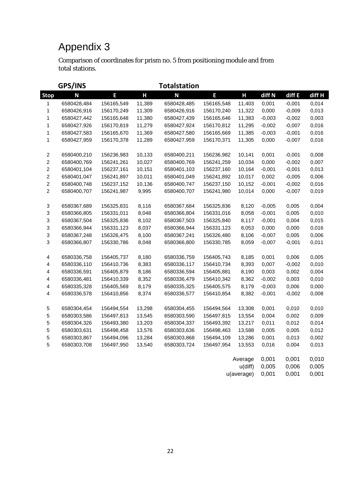Comparison of coordinates for prism no. 5 from positioning module and from total stations.

|                         | GPS/INS     |            |        | <b>Totalstation</b> |            |            |          |          |        |
|-------------------------|-------------|------------|--------|---------------------|------------|------------|----------|----------|--------|
| <b>Stop</b>             | N           | E          | Н      | N                   | E          | Н          | diff N   | diff E   | diff H |
| 1                       | 6580428,484 | 156165,549 | 11,389 | 6580428,485         | 156165,548 | 11,403     | 0,001    | $-0,001$ | 0,014  |
| 1                       | 6580426,916 | 156170,249 | 11,309 | 6580426,916         | 156170,240 | 11,322     | 0,000    | $-0,009$ | 0,013  |
| 1                       | 6580427,442 | 156165,648 | 11,380 | 6580427,439         | 156165,646 | 11,383     | $-0,003$ | $-0,002$ | 0,003  |
| 1                       | 6580427,926 | 156170,819 | 11,279 | 6580427,924         | 156170,812 | 11,295     | $-0,002$ | $-0,007$ | 0,016  |
| $\mathbf 1$             | 6580427,583 | 156165,670 | 11,369 | 6580427,580         | 156165,669 | 11,385     | $-0,003$ | $-0,001$ | 0,016  |
| $\mathbf{1}$            | 6580427,959 | 156170,378 | 11,289 | 6580427,959         | 156170,371 | 11,305     | 0,000    | $-0,007$ | 0,016  |
| $\overline{\mathbf{c}}$ | 6580400,210 | 156236,983 | 10,133 | 6580400,211         | 156236,982 | 10,141     | 0,001    | $-0,001$ | 0,008  |
| $\mathbf 2$             | 6580400,769 | 156241,261 | 10,027 | 6580400,769         | 156241,259 | 10,034     | 0,000    | $-0,002$ | 0,007  |
| $\overline{\mathbf{c}}$ | 6580401,104 | 156237,161 | 10,151 | 6580401,103         | 156237,160 | 10,164     | $-0,001$ | $-0,001$ | 0,013  |
| $\overline{c}$          | 6580401,047 | 156241,897 | 10,011 | 6580401,049         | 156241,892 | 10,017     | 0,002    | $-0,005$ | 0,006  |
| $\overline{c}$          | 6580400,748 | 156237,152 | 10,136 | 6580400,747         | 156237,150 | 10,152     | $-0,001$ | $-0,002$ | 0,016  |
| $\overline{c}$          | 6580400,707 | 156241,987 | 9,995  | 6580400,707         | 156241,980 | 10,014     | 0,000    | $-0,007$ | 0,019  |
| 3                       | 6580367,689 | 156325,831 | 8,116  | 6580367,684         | 156325,836 | 8,120      | $-0,005$ | 0,005    | 0,004  |
| 3                       | 6580366,805 | 156331,011 | 8,048  | 6580366,804         | 156331,016 | 8,058      | $-0,001$ | 0,005    | 0,010  |
| 3                       | 6580367,504 | 156325,836 | 8,102  | 6580367,503         | 156325,840 | 8,117      | $-0,001$ | 0,004    | 0,015  |
| 3                       | 6580366,944 | 156331,123 | 8,037  | 6580366,944         | 156331,123 | 8,053      | 0,000    | 0,000    | 0,016  |
| 3                       | 6580367,248 | 156326,475 | 8,100  | 6580367,241         | 156326,480 | 8,106      | $-0,007$ | 0,005    | 0,006  |
| 3                       | 6580366,807 | 156330,786 | 8,048  | 6580366,800         | 156330,785 | 8,059      | $-0,007$ | $-0,001$ | 0,011  |
| 4                       | 6580336,758 | 156405,737 | 8,180  | 6580336,759         | 156405,743 | 8,185      | 0,001    | 0,006    | 0,005  |
| 4                       | 6580336,110 | 156410,736 | 8,383  | 6580336,117         | 156410,734 | 8,393      | 0,007    | $-0,002$ | 0,010  |
| 4                       | 6580336,591 | 156405,879 | 8,186  | 6580336,594         | 156405,881 | 8,190      | 0,003    | 0,002    | 0,004  |
| 4                       | 6580336,481 | 156410,339 | 8,352  | 6580336,479         | 156410,342 | 8,362      | $-0,002$ | 0,003    | 0,010  |
| 4                       | 6580335,328 | 156405,569 | 8,179  | 6580335,325         | 156405,575 | 8,179      | $-0,003$ | 0,006    | 0,000  |
| 4                       | 6580336,578 | 156410,856 | 8,374  | 6580336,577         | 156410,854 | 8,382      | $-0,001$ | $-0,002$ | 0,008  |
| 5                       | 6580304,454 | 156494,554 | 13,298 | 6580304,455         | 156494,564 | 13,308     | 0,001    | 0,010    | 0,010  |
| 5                       | 6580303,586 | 156497,813 | 13,545 | 6580303,590         | 156497,815 | 13,554     | 0,004    | 0,002    | 0,009  |
| $\,$ 5 $\,$             | 6580304,326 | 156493,380 | 13,203 | 6580304,337         | 156493,392 | 13,217     | 0,011    | 0,012    | 0,014  |
| $\mathbf 5$             | 6580303,631 | 156498,458 | 13,576 | 6580303,636         | 156498,463 | 13,588     | 0,005    | 0,005    | 0,012  |
| $\mathbf 5$             | 6580303,867 | 156494,096 | 13,284 | 6580303,868         | 156494,109 | 13,286     | 0,001    | 0,013    | 0,002  |
| $\sqrt{5}$              | 6580303,708 | 156497,950 | 13,540 | 6580303,724         | 156497,954 | 13,553     | 0,016    | 0,004    | 0,013  |
|                         |             |            |        |                     |            | Average    | 0,001    | 0,001    | 0,010  |
|                         |             |            |        |                     |            | $u$ (diff) | 0,005    | 0,006    | 0,005  |
|                         |             |            |        |                     |            | u(average) | 0,001    | 0,001    | 0,001  |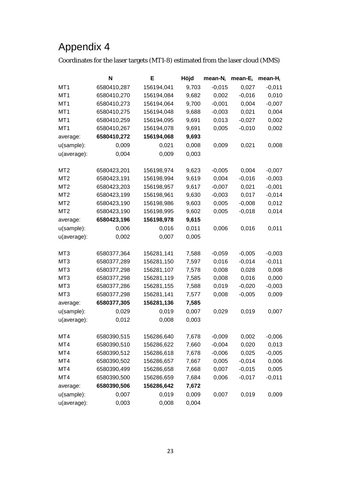Coordinates for the laser targets (MT1-8) estimated from the laser cloud (MMS)

| 6580410,287<br>MT <sub>1</sub><br>156194,041<br>9,703<br>$-0,015$<br>0,027<br>$-0,011$<br>6580410,270<br>9,682<br>0,002<br>$-0,016$<br>0,010<br>MT <sub>1</sub><br>156194,084<br>$-0,007$<br>9,700<br>$-0,001$<br>0,004<br>MT <sub>1</sub><br>6580410,273<br>156194,064<br>$-0,003$<br>0,021<br>0,004<br>MT <sub>1</sub><br>6580410,275<br>156194,048<br>9,688<br>$-0,027$<br>0,002<br>MT <sub>1</sub><br>6580410,259<br>156194,095<br>9,691<br>0,013<br>0,005<br>0,002<br>MT <sub>1</sub><br>6580410,267<br>156194,078<br>9,691<br>$-0,010$<br>6580410,272<br>156194,068<br>9,693<br>average:<br>u(sample):<br>0,009<br>0,008<br>0,009<br>0,021<br>0,008<br>0,021<br>0,004<br>0,003<br>u(average):<br>0,009<br>9,623<br>$-0,005$<br>0,004<br>$-0,007$<br>MT <sub>2</sub><br>6580423,201<br>156198,974<br>$-0,016$<br>$-0,003$<br>MT <sub>2</sub><br>6580423,191<br>156198,994<br>9,619<br>0,004<br>$-0,001$<br>9,617<br>$-0,007$<br>0,021<br>MT <sub>2</sub><br>6580423,203<br>156198,957<br>6580423,199<br>$-0,003$<br>0,017<br>$-0,014$<br>MT <sub>2</sub><br>156198,961<br>9,630<br>6580423,190<br>0,005<br>$-0,008$<br>0,012<br>MT <sub>2</sub><br>156198,986<br>9,603 | N | Е | Höjd | $mean-N_i$ | mean- $E_i$ | mean- $H_i$ |
|-----------------------------------------------------------------------------------------------------------------------------------------------------------------------------------------------------------------------------------------------------------------------------------------------------------------------------------------------------------------------------------------------------------------------------------------------------------------------------------------------------------------------------------------------------------------------------------------------------------------------------------------------------------------------------------------------------------------------------------------------------------------------------------------------------------------------------------------------------------------------------------------------------------------------------------------------------------------------------------------------------------------------------------------------------------------------------------------------------------------------------------------------------------------------------|---|---|------|------------|-------------|-------------|
|                                                                                                                                                                                                                                                                                                                                                                                                                                                                                                                                                                                                                                                                                                                                                                                                                                                                                                                                                                                                                                                                                                                                                                             |   |   |      |            |             |             |
|                                                                                                                                                                                                                                                                                                                                                                                                                                                                                                                                                                                                                                                                                                                                                                                                                                                                                                                                                                                                                                                                                                                                                                             |   |   |      |            |             |             |
|                                                                                                                                                                                                                                                                                                                                                                                                                                                                                                                                                                                                                                                                                                                                                                                                                                                                                                                                                                                                                                                                                                                                                                             |   |   |      |            |             |             |
|                                                                                                                                                                                                                                                                                                                                                                                                                                                                                                                                                                                                                                                                                                                                                                                                                                                                                                                                                                                                                                                                                                                                                                             |   |   |      |            |             |             |
|                                                                                                                                                                                                                                                                                                                                                                                                                                                                                                                                                                                                                                                                                                                                                                                                                                                                                                                                                                                                                                                                                                                                                                             |   |   |      |            |             |             |
|                                                                                                                                                                                                                                                                                                                                                                                                                                                                                                                                                                                                                                                                                                                                                                                                                                                                                                                                                                                                                                                                                                                                                                             |   |   |      |            |             |             |
|                                                                                                                                                                                                                                                                                                                                                                                                                                                                                                                                                                                                                                                                                                                                                                                                                                                                                                                                                                                                                                                                                                                                                                             |   |   |      |            |             |             |
|                                                                                                                                                                                                                                                                                                                                                                                                                                                                                                                                                                                                                                                                                                                                                                                                                                                                                                                                                                                                                                                                                                                                                                             |   |   |      |            |             |             |
|                                                                                                                                                                                                                                                                                                                                                                                                                                                                                                                                                                                                                                                                                                                                                                                                                                                                                                                                                                                                                                                                                                                                                                             |   |   |      |            |             |             |
|                                                                                                                                                                                                                                                                                                                                                                                                                                                                                                                                                                                                                                                                                                                                                                                                                                                                                                                                                                                                                                                                                                                                                                             |   |   |      |            |             |             |
|                                                                                                                                                                                                                                                                                                                                                                                                                                                                                                                                                                                                                                                                                                                                                                                                                                                                                                                                                                                                                                                                                                                                                                             |   |   |      |            |             |             |
|                                                                                                                                                                                                                                                                                                                                                                                                                                                                                                                                                                                                                                                                                                                                                                                                                                                                                                                                                                                                                                                                                                                                                                             |   |   |      |            |             |             |
|                                                                                                                                                                                                                                                                                                                                                                                                                                                                                                                                                                                                                                                                                                                                                                                                                                                                                                                                                                                                                                                                                                                                                                             |   |   |      |            |             |             |
|                                                                                                                                                                                                                                                                                                                                                                                                                                                                                                                                                                                                                                                                                                                                                                                                                                                                                                                                                                                                                                                                                                                                                                             |   |   |      |            |             |             |
|                                                                                                                                                                                                                                                                                                                                                                                                                                                                                                                                                                                                                                                                                                                                                                                                                                                                                                                                                                                                                                                                                                                                                                             |   |   |      |            |             |             |
| 0,014<br>MT <sub>2</sub><br>6580423,190<br>156198,995<br>9,602<br>0,005<br>$-0,018$                                                                                                                                                                                                                                                                                                                                                                                                                                                                                                                                                                                                                                                                                                                                                                                                                                                                                                                                                                                                                                                                                         |   |   |      |            |             |             |
| 6580423,196<br>156198,978<br>9,615<br>average:                                                                                                                                                                                                                                                                                                                                                                                                                                                                                                                                                                                                                                                                                                                                                                                                                                                                                                                                                                                                                                                                                                                              |   |   |      |            |             |             |
| 0,011<br>0,011<br>u(sample):<br>0,006<br>0,016<br>0,006<br>0,016                                                                                                                                                                                                                                                                                                                                                                                                                                                                                                                                                                                                                                                                                                                                                                                                                                                                                                                                                                                                                                                                                                            |   |   |      |            |             |             |
| 0,002<br>0,007<br>0,005<br>u(average):                                                                                                                                                                                                                                                                                                                                                                                                                                                                                                                                                                                                                                                                                                                                                                                                                                                                                                                                                                                                                                                                                                                                      |   |   |      |            |             |             |
| MT <sub>3</sub><br>6580377,364<br>156281,141<br>7,588<br>$-0,059$<br>$-0,005$<br>$-0,003$                                                                                                                                                                                                                                                                                                                                                                                                                                                                                                                                                                                                                                                                                                                                                                                                                                                                                                                                                                                                                                                                                   |   |   |      |            |             |             |
| 0,016<br>$-0,014$<br>$-0,011$<br>MT <sub>3</sub><br>6580377,289<br>156281,150<br>7,597                                                                                                                                                                                                                                                                                                                                                                                                                                                                                                                                                                                                                                                                                                                                                                                                                                                                                                                                                                                                                                                                                      |   |   |      |            |             |             |
| 0,008<br>0,028<br>0,008<br>MT <sub>3</sub><br>6580377,298<br>156281,107<br>7,578                                                                                                                                                                                                                                                                                                                                                                                                                                                                                                                                                                                                                                                                                                                                                                                                                                                                                                                                                                                                                                                                                            |   |   |      |            |             |             |
| 0,008<br>0,016<br>0,000<br>MT <sub>3</sub><br>6580377,298<br>156281,119<br>7,585                                                                                                                                                                                                                                                                                                                                                                                                                                                                                                                                                                                                                                                                                                                                                                                                                                                                                                                                                                                                                                                                                            |   |   |      |            |             |             |
| 0,019<br>$-0,020$<br>$-0,003$<br>MT <sub>3</sub><br>6580377,286<br>156281,155<br>7,588                                                                                                                                                                                                                                                                                                                                                                                                                                                                                                                                                                                                                                                                                                                                                                                                                                                                                                                                                                                                                                                                                      |   |   |      |            |             |             |
| MT <sub>3</sub><br>156281,141<br>7,577<br>$-0,005$<br>0,009<br>6580377,298<br>0,008                                                                                                                                                                                                                                                                                                                                                                                                                                                                                                                                                                                                                                                                                                                                                                                                                                                                                                                                                                                                                                                                                         |   |   |      |            |             |             |
| 6580377,305<br>156281,136<br>7,585<br>average:                                                                                                                                                                                                                                                                                                                                                                                                                                                                                                                                                                                                                                                                                                                                                                                                                                                                                                                                                                                                                                                                                                                              |   |   |      |            |             |             |
| 0,007<br>u(sample):<br>0,029<br>0,019<br>0,029<br>0,019<br>0,007                                                                                                                                                                                                                                                                                                                                                                                                                                                                                                                                                                                                                                                                                                                                                                                                                                                                                                                                                                                                                                                                                                            |   |   |      |            |             |             |
| 0,012<br>0,008<br>0,003<br>u(average):                                                                                                                                                                                                                                                                                                                                                                                                                                                                                                                                                                                                                                                                                                                                                                                                                                                                                                                                                                                                                                                                                                                                      |   |   |      |            |             |             |
| 0,002<br>MT4<br>6580390,515<br>156286,640<br>7,678<br>$-0,009$<br>$-0,006$                                                                                                                                                                                                                                                                                                                                                                                                                                                                                                                                                                                                                                                                                                                                                                                                                                                                                                                                                                                                                                                                                                  |   |   |      |            |             |             |
| MT4<br>6580390,510<br>7,660<br>$-0,004$<br>0,020<br>0,013<br>156286,622                                                                                                                                                                                                                                                                                                                                                                                                                                                                                                                                                                                                                                                                                                                                                                                                                                                                                                                                                                                                                                                                                                     |   |   |      |            |             |             |
| MT4<br>6580390,512<br>156286,618<br>7,678<br>$-0,006$<br>0,025<br>$-0,005$                                                                                                                                                                                                                                                                                                                                                                                                                                                                                                                                                                                                                                                                                                                                                                                                                                                                                                                                                                                                                                                                                                  |   |   |      |            |             |             |
| $-0,014$<br>MT4<br>6580390,502<br>156286,657<br>7,667<br>0,005<br>0,006                                                                                                                                                                                                                                                                                                                                                                                                                                                                                                                                                                                                                                                                                                                                                                                                                                                                                                                                                                                                                                                                                                     |   |   |      |            |             |             |
| 0,007<br>0,005<br>MT4<br>6580390,499<br>7,668<br>$-0,015$<br>156286,658                                                                                                                                                                                                                                                                                                                                                                                                                                                                                                                                                                                                                                                                                                                                                                                                                                                                                                                                                                                                                                                                                                     |   |   |      |            |             |             |
| 0,006<br>MT4<br>6580390,500<br>156286,659<br>7,684<br>$-0,017$<br>$-0,011$                                                                                                                                                                                                                                                                                                                                                                                                                                                                                                                                                                                                                                                                                                                                                                                                                                                                                                                                                                                                                                                                                                  |   |   |      |            |             |             |
| 6580390,506<br>156286,642<br>7,672<br>average:                                                                                                                                                                                                                                                                                                                                                                                                                                                                                                                                                                                                                                                                                                                                                                                                                                                                                                                                                                                                                                                                                                                              |   |   |      |            |             |             |
| 0,019<br>0,009<br>0,019<br>u(sample):<br>0,007<br>0,007<br>0,009                                                                                                                                                                                                                                                                                                                                                                                                                                                                                                                                                                                                                                                                                                                                                                                                                                                                                                                                                                                                                                                                                                            |   |   |      |            |             |             |
| 0,003<br>0,008<br>0,004<br>u(average):                                                                                                                                                                                                                                                                                                                                                                                                                                                                                                                                                                                                                                                                                                                                                                                                                                                                                                                                                                                                                                                                                                                                      |   |   |      |            |             |             |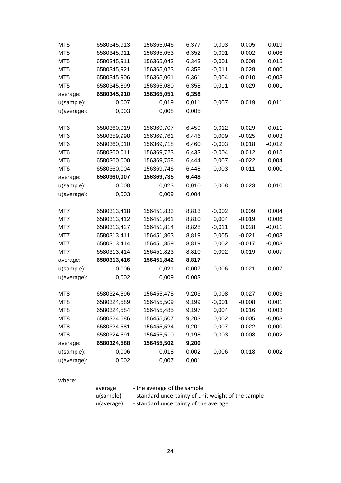| MT <sub>5</sub> | 6580345,913 | 156365,046 | 6,377 | $-0,003$ | 0,005    | $-0,019$ |
|-----------------|-------------|------------|-------|----------|----------|----------|
| MT5             | 6580345,911 | 156365,053 | 6,352 | $-0,001$ | $-0,002$ | 0,006    |
| MT <sub>5</sub> | 6580345,911 | 156365,043 | 6,343 | $-0,001$ | 0,008    | 0,015    |
| MT <sub>5</sub> | 6580345,921 | 156365,023 | 6,358 | $-0,011$ | 0,028    | 0,000    |
| MT <sub>5</sub> | 6580345,906 | 156365,061 | 6,361 | 0,004    | $-0,010$ | $-0,003$ |
| MT <sub>5</sub> | 6580345,899 | 156365,080 | 6,358 | 0,011    | $-0,029$ | 0,001    |
| average:        | 6580345,910 | 156365,051 | 6,358 |          |          |          |
| u(sample):      | 0,007       | 0,019      | 0,011 | 0,007    | 0,019    | 0,011    |
| u(average):     | 0,003       | 0,008      | 0,005 |          |          |          |
| MT <sub>6</sub> | 6580360,019 | 156369,707 | 6,459 | $-0,012$ | 0,029    | $-0,011$ |
| MT6             | 6580359,998 | 156369,761 | 6,446 | 0,009    | $-0,025$ | 0,003    |
| MT <sub>6</sub> | 6580360,010 | 156369,718 | 6,460 | $-0,003$ | 0,018    | $-0,012$ |
| MT6             | 6580360,011 | 156369,723 | 6,433 | $-0,004$ | 0,012    | 0,015    |
| MT <sub>6</sub> | 6580360,000 | 156369,758 | 6,444 | 0,007    | $-0,022$ | 0,004    |
| MT <sub>6</sub> | 6580360,004 | 156369,746 | 6,448 | 0,003    | $-0,011$ | 0,000    |
| average:        | 6580360,007 | 156369,735 | 6,448 |          |          |          |
| u(sample):      | 0,008       | 0,023      | 0,010 | 0,008    | 0,023    | 0,010    |
| u(average):     | 0,003       | 0,009      | 0,004 |          |          |          |
| MT7             | 6580313,418 | 156451,833 | 8,813 | $-0,002$ | 0,009    | 0,004    |
| MT7             | 6580313,412 | 156451,861 | 8,810 | 0,004    | $-0,019$ | 0,006    |
| MT7             | 6580313,427 | 156451,814 | 8,828 | $-0,011$ | 0,028    | $-0,011$ |
| MT7             | 6580313,411 | 156451,863 | 8,819 | 0,005    | $-0,021$ | $-0,003$ |
| MT7             | 6580313,414 | 156451,859 | 8,819 | 0,002    | $-0,017$ | $-0,003$ |
| MT7             | 6580313,414 | 156451,823 | 8,810 | 0,002    | 0,019    | 0,007    |
| average:        | 6580313,416 | 156451,842 | 8,817 |          |          |          |
| u(sample):      | 0,006       | 0,021      | 0,007 | 0,006    | 0,021    | 0,007    |
| u(average):     | 0,002       | 0,009      | 0,003 |          |          |          |
| MT <sub>8</sub> | 6580324,596 | 156455,475 | 9,203 | $-0,008$ | 0,027    | $-0,003$ |
| MT8             | 6580324,589 | 156455,509 | 9,199 | $-0,001$ | $-0,008$ | 0,001    |
| MT8             | 6580324,584 | 156455,485 | 9,197 | 0,004    | 0,016    | 0,003    |
| MT8             | 6580324,586 | 156455,507 | 9,203 | 0,002    | $-0,005$ | $-0,003$ |
| MT8             | 6580324,581 | 156455,524 | 9,201 | 0,007    | $-0,022$ | 0,000    |
| MT8             | 6580324,591 | 156455,510 | 9,198 | $-0,003$ | $-0,008$ | 0,002    |
| average:        | 6580324,588 | 156455,502 | 9,200 |          |          |          |
| u(sample):      | 0,006       | 0,018      | 0,002 | 0,006    | 0,018    | 0,002    |
| u(average):     |             |            |       |          |          |          |

#### where:

| average    | - the average of the sample                         |
|------------|-----------------------------------------------------|
| u(sample)  | - standard uncertainty of unit weight of the sample |
| u(average) | - standard uncertainty of the average               |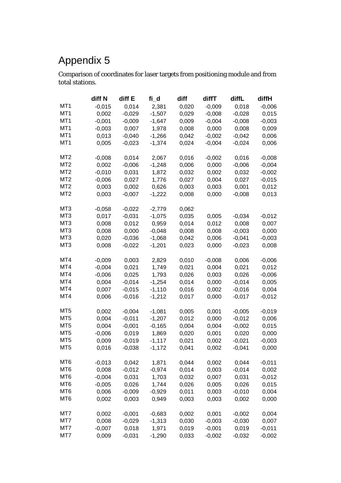Comparison of coordinates for laser targets from positioning module and from total stations.

|                 | diff N   | diff E   | fi_d     | diff  | diffT    | diffL    | diffH    |
|-----------------|----------|----------|----------|-------|----------|----------|----------|
| MT1             | $-0,015$ | 0,014    | 2,381    | 0,020 | $-0,009$ | 0,018    | $-0,006$ |
| MT <sub>1</sub> | 0,002    | $-0,029$ | $-1,507$ | 0,029 | $-0,008$ | $-0,028$ | 0,015    |
| MT <sub>1</sub> | $-0,001$ | $-0,009$ | $-1,647$ | 0,009 | $-0,004$ | $-0,008$ | $-0,003$ |
| MT1             | $-0,003$ | 0,007    | 1,978    | 0,008 | 0,000    | 0,008    | 0,009    |
| MT1             | 0,013    | $-0,040$ | $-1,266$ | 0,042 | $-0,002$ | $-0,042$ | 0,006    |
| MT <sub>1</sub> | 0,005    | $-0,023$ | $-1,374$ | 0,024 | $-0,004$ | $-0,024$ | 0,006    |
| MT2             | $-0,008$ | 0,014    | 2,067    | 0,016 | $-0,002$ | 0,016    | $-0,008$ |
| MT <sub>2</sub> | 0,002    | $-0,006$ | $-1,248$ | 0,006 | 0,000    | $-0,006$ | $-0,004$ |
| MT <sub>2</sub> | $-0,010$ | 0,031    | 1,872    | 0,032 | 0,002    | 0,032    | $-0,002$ |
| MT <sub>2</sub> | $-0,006$ | 0,027    | 1,776    | 0,027 | 0,004    | 0,027    | $-0,015$ |
| MT <sub>2</sub> | 0,003    | 0,002    | 0,626    | 0,003 | 0,003    | 0,001    | 0,012    |
| MT <sub>2</sub> | 0,003    | $-0,007$ | $-1,222$ | 0,008 | 0,000    | $-0,008$ | 0,013    |
| MT3             | $-0,058$ | $-0,022$ | $-2,779$ | 0,062 |          |          |          |
| MT3             | 0,017    | $-0,031$ | $-1,075$ | 0,035 | 0,005    | $-0,034$ | $-0,012$ |
| MT3             | 0,008    | 0,012    | 0,959    | 0,014 | 0,012    | 0,008    | 0,007    |
| MT3             | 0,008    | 0,000    | $-0,048$ | 0,008 | 0,008    | $-0,003$ | 0,000    |
| MT <sub>3</sub> | 0,020    | $-0,036$ | $-1,068$ | 0,042 | 0,006    | $-0,041$ | $-0,003$ |
| MT3             | 0,008    | $-0,022$ | $-1,201$ | 0,023 | 0,000    | $-0,023$ | 0,008    |
| MT4             | $-0,009$ | 0,003    | 2,829    | 0,010 | $-0,008$ | 0,006    | $-0,006$ |
| MT4             | $-0,004$ | 0,021    | 1,749    | 0,021 | 0,004    | 0,021    | 0,012    |
| MT4             | $-0,006$ | 0,025    | 1,793    | 0,026 | 0,003    | 0,026    | $-0,006$ |
| MT4             | 0,004    | $-0,014$ | $-1,254$ | 0,014 | 0,000    | $-0,014$ | 0,005    |
| MT4             | 0,007    | $-0,015$ | $-1,110$ | 0,016 | 0,002    | $-0,016$ | 0,004    |
| MT4             | 0,006    | $-0,016$ | $-1,212$ | 0,017 | 0,000    | $-0,017$ | $-0,012$ |
| MT <sub>5</sub> | 0,002    | $-0,004$ | $-1,081$ | 0,005 | 0,001    | $-0,005$ | $-0,019$ |
| MT <sub>5</sub> | 0,004    | $-0,011$ | $-1,207$ | 0,012 | 0,000    | $-0,012$ | 0,006    |
| MT <sub>5</sub> | 0,004    | $-0,001$ | $-0,165$ | 0,004 | 0,004    | $-0,002$ | 0,015    |
| MT <sub>5</sub> | $-0,006$ | 0,019    | 1,869    | 0,020 | 0,001    | 0,020    | 0,000    |
| MT <sub>5</sub> | 0,009    | $-0,019$ | $-1,117$ | 0,021 | 0,002    | $-0,021$ | $-0,003$ |
| MT <sub>5</sub> | 0,016    | $-0,038$ | $-1,172$ | 0,041 | 0,002    | $-0,041$ | 0,000    |
| MT <sub>6</sub> | $-0,013$ | 0,042    | 1,871    | 0,044 | 0,002    | 0,044    | $-0,011$ |
| MT <sub>6</sub> | 0,008    | $-0,012$ | $-0,974$ | 0,014 | 0,003    | $-0,014$ | 0,002    |
| MT <sub>6</sub> | $-0,004$ | 0,031    | 1,703    | 0,032 | 0,007    | 0,031    | $-0,012$ |
| MT <sub>6</sub> | $-0,005$ | 0,026    | 1,744    | 0,026 | 0,005    | 0,026    | 0,015    |
| MT <sub>6</sub> | 0,006    | $-0,009$ | $-0,929$ | 0,011 | 0,003    | $-0,010$ | 0,004    |
| MT <sub>6</sub> | 0,002    | 0,003    | 0,949    | 0,003 | 0,003    | 0,002    | 0,000    |
| MT7             | 0,002    | $-0,001$ | $-0,683$ | 0,002 | 0,001    | $-0,002$ | 0,004    |
| MT7             | 0,008    | $-0,029$ | $-1,313$ | 0,030 | $-0,003$ | $-0,030$ | 0,007    |
| MT7             | $-0,007$ | 0,018    | 1,971    | 0,019 | $-0,001$ | 0,019    | $-0,011$ |
| MT7             | 0,009    | $-0,031$ | $-1,290$ | 0,033 | $-0,002$ | $-0,032$ | $-0,002$ |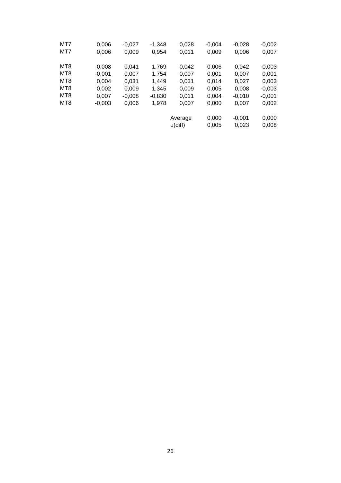| MT7             | 0,006    | $-0,027$ | $-1,348$ | 0,028      | $-0,004$ | $-0,028$ | $-0,002$ |
|-----------------|----------|----------|----------|------------|----------|----------|----------|
| MT7             | 0,006    | 0,009    | 0,954    | 0,011      | 0,009    | 0,006    | 0,007    |
| MT <sub>8</sub> | $-0,008$ | 0,041    | 1,769    | 0,042      | 0,006    | 0,042    | $-0,003$ |
| MT <sub>8</sub> | $-0,001$ | 0,007    | 1,754    | 0,007      | 0,001    | 0,007    | 0,001    |
| MT <sub>8</sub> | 0,004    | 0,031    | 1,449    | 0,031      | 0,014    | 0,027    | 0,003    |
| MT <sub>8</sub> | 0,002    | 0,009    | 1.345    | 0,009      | 0,005    | 0,008    | $-0,003$ |
| MT <sub>8</sub> | 0,007    | $-0,008$ | $-0,830$ | 0.011      | 0,004    | $-0,010$ | $-0,001$ |
| MT <sub>8</sub> | $-0,003$ | 0,006    | 1,978    | 0.007      | 0,000    | 0,007    | 0,002    |
|                 |          |          |          | Average    | 0,000    | $-0,001$ | 0,000    |
|                 |          |          |          | $u$ (diff) | 0,005    | 0,023    | 0,008    |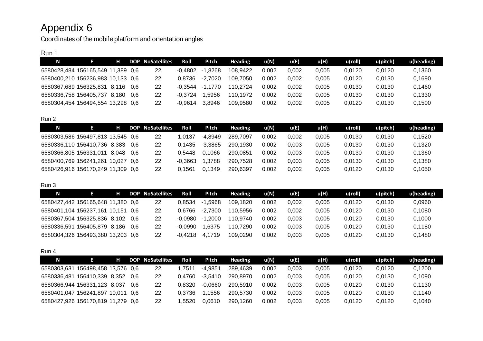Coordinates of the mobile platform and orientation angles

### Run 1

| N                                 | н |      | DOP NoSatellites | Roll      | Pitch   | <b>Heading</b> | u(N)  | u(E)  | u(H)  | u(roll) | u(pitch) | u(heading) |
|-----------------------------------|---|------|------------------|-----------|---------|----------------|-------|-------|-------|---------|----------|------------|
| 6580428,484 156165,549 11,389 0,6 |   |      | 22               | -0.4802   | -1.8268 | 108.9422       | 0.002 | 0.002 | 0.005 | 0.0120  | 0.0120   | 0.1360     |
| 6580400,210 156236,983 10,133 0,6 |   |      | 22               | 0.8736    | -2.7020 | 109.7050       | 0.002 | 0.002 | 0.005 | 0.0120  | 0.0130   | 0,1690     |
| 6580367,689 156325,831 8,116      |   | -0.6 | 22               | $-0.3544$ | .1770   | 110.2724       | 0.002 | 0.002 | 0.005 | 0.0130  | 0.0130   | 0.1460     |
| 6580336,758 156405,737 8,180      |   | 0.6  | 22               | $-0.3724$ | .5956   | 110.1972       | 0.002 | 0.002 | 0.005 | 0.0130  | 0.0130   | 0.1330     |
| 6580304.454 156494.554 13.298 0.6 |   |      | 22               | $-0.9614$ | 8.8946  | 109.9580       | 0.002 | 0.002 | 0.005 | 0.0120  | 0,0130   | 0.1500     |

### Run 2

| N                                 | н     | <b>DOP</b> | <b>NoSatellites</b> | Roll      | Pitch     | <b>Heading</b> | u(N)  | u(E)  | u(H)  | u(roll) | $u$ (pitch) | u(heading) |
|-----------------------------------|-------|------------|---------------------|-----------|-----------|----------------|-------|-------|-------|---------|-------------|------------|
| 6580303,586 156497,813 13,545 0,6 |       |            | 22                  | l.0137    | $-4.8949$ | 289.7097       | 0.002 | 0.002 | 0.005 | 0.0130  | 0.0130      | 0,1520     |
| 6580336,110 156410,736 8,383      |       | 0.6        | 22                  | 0.1435    | $-3.3865$ | 290.1930       | 0.002 | 0.003 | 0.005 | 0.0130  | 0.0130      | 0,1320     |
| 6580366,805 156331,011            | 8.048 | 0.6        | 22                  | 0.5448    | 0.1066    | 290.0851       | 0.002 | 0.003 | 0.005 | 0.0130  | 0.0130      | 0,1360     |
| 6580400,769 156241,261 10,027     |       | -0.6       | 22                  | $-0.3663$ | .3788     | 290.7528       | 0,002 | 0.003 | 0.005 | 0.0130  | 0.0130      | 0,1380     |
| 6580426.916 156170.249 11.309 0.6 |       |            | 22                  | 0.1561    | J.1349    | 290.6397       | 0.002 | 0.002 | 0.005 | 0.0120  | 0.0130      | 0,1050     |

### Run 3

| N                                 | н |     | DOP NoSatellites | Roll      | Pitch       | <b>Heading</b> | u(N)  | u(E)  | <b>u(H)</b> | u(roll) | $u$ (pitch) | u(heading) |
|-----------------------------------|---|-----|------------------|-----------|-------------|----------------|-------|-------|-------------|---------|-------------|------------|
| 6580427,442 156165,648 11,380 0,6 |   |     | 22               | 0.8534    | $-1.5968$   | 109.1820       | 0.002 | 0.002 | 0.005       | 0.0120  | 0.0130      | 0.0960     |
| 6580401,104 156237,161 10,151 0,6 |   |     | 22               | 0.6766    | $-2.7300$   | 10.5956        | 0.002 | 0.002 | 0.005       | 0.0120  | 0.0130      | 0,1080     |
| 6580367,504 156325,836 8,102      |   | 0.6 | 22               | $-0.0980$ | .2000<br>-1 | 110.9740       | 0.002 | 0.003 | 0.005       | 0.0120  | 0.0130      | 0,1000     |
| 6580336,591 156405,879 8,186      |   | 0.6 | 22               | -0.0990   | .6375       | 110.7290       | 0.002 | 0.003 | 0.005       | 0.0120  | 0.0130      | 0.1180     |
| 6580304,326 156493,380 13,203 0,6 |   |     | 22               | -0.4218   | 1719        | 109.0290       | 0.002 | 0.003 | 0.005       | 0.0120  | 0.0130      | 0.1480     |

### Run 4

| N                                 | н |       | DOP NoSatellites | Roll   | Pitch     | <b>Heading</b> | u(N)  | u(E)  | u(H)  | u(roll) | u(pitch) | u(heading) |
|-----------------------------------|---|-------|------------------|--------|-----------|----------------|-------|-------|-------|---------|----------|------------|
| 6580303,631 156498,458 13,576 0,6 |   |       | 22               | .7511  | $-4.9851$ | 289.4639       | 0.002 | 0.003 | 0.005 | 0.0120  | 0,0120   | 0,1200     |
| 6580336.481 156410.339 8.352      |   | - ೧ ೯ | 22               | 0.4760 | $-3.5410$ | 290.8970       | 0.002 | 0.003 | 0.005 | 0.0120  | 0.0130   | 0,1090     |
| 6580366,944 156331,123 8,037      |   | 0.6   | 22               | 0.8320 | $-0.0660$ | 290,5910       | 0.002 | 0.003 | 0.005 | 0.0120  | 0.0130   | 0,1130     |
| 6580401.047 156241.897 10.011 0.6 |   |       | 22               | 0.3736 | 1556      | 290,5730       | 0.002 | 0.003 | 0.005 | 0.0120  | 0.0130   | 0,1140     |
| 6580427,926 156170,819 11,279 0,6 |   |       | 22               | .5520  | 0.0610    | 290.1260       | 0.002 | 0.003 | 0.005 | 0.0120  | 0.0120   | 0,1040     |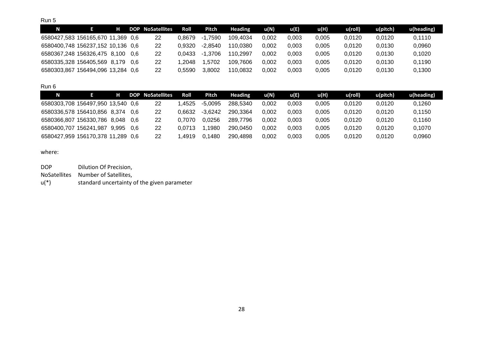Run 5

| N                                 |                       | н |       | <b>DOP NoSatellites</b> | Roll   | Pitch       | Heading  | u(N)  | $\mathbf{u}(\mathbf{B})$ | u(H)  | $u$ (roll) | u(pitch) | u(heading) |
|-----------------------------------|-----------------------|---|-------|-------------------------|--------|-------------|----------|-------|--------------------------|-------|------------|----------|------------|
| 6580427,583 156165,670 11,369 0,6 |                       |   |       | 22                      | 0.8679 | .7590<br>-1 | 109.4034 | 0.002 | 0.003                    | 0.005 | 0.0120     | 0.0120   | 0.1110     |
| 6580400,748 156237,152 10,136 0,6 |                       |   |       | 22                      | 0.9320 | $-2.8540$   | 110.0380 | 0.002 | 0.003                    | 0.005 | 0.0120     | 0.0130   | 0,0960     |
| 6580367,248 156326,475 8,100      |                       |   | - 0.6 | 22                      | 0.0433 | .3706<br>-1 | 110.2997 | 0.002 | 0.003                    | 0.005 | 0.0120     | 0.0130   | 0.1020     |
| 6580335.328 156405.569 8.179 0.6  |                       |   |       | 22                      | .2048  | .5702       | 109.7606 | 0.002 | 0.003                    | 0.005 | 0.0120     | 0.0130   | 0,1190     |
| 6580303.867                       | 156494.096 13.284 0.6 |   |       | 22                      | 0.5590 | 3.8002      | 110.0832 | 0.002 | 0.003                    | 0.005 | 0.0120     | 0.0130   | 0.1300     |

### Run 6

| N                                 | н     |     | <b>DOP</b> NoSatellites | Roll   | Pitch     | <b>Heading</b> | u(N)  | u(E)  | u(H)  | u(roll) | u(pitch) | u(heading) |
|-----------------------------------|-------|-----|-------------------------|--------|-----------|----------------|-------|-------|-------|---------|----------|------------|
| 6580303,708 156497,950 13,540 0,6 |       |     | 22                      | .4525  | $-5.0095$ | 288,5340       | 0.002 | 0.003 | 0.005 | 0.0120  | 0.0120   | 0,1260     |
| 6580336,578 156410,856 8,374      |       | 0.6 | 22                      | 0.6632 | $-3.6242$ | 290.3364       | 0.002 | 0.003 | 0.005 | 0.0120  | 0.0120   | 0,1150     |
| 6580366,807 156330,786 8,048      |       | 0.6 | 22                      | 0.7070 | 0.0256    | 289.7796       | 0.002 | 0.003 | 0.005 | 0.0120  | 0.0120   | 0,1160     |
| 6580400,707 156241,987            | 9.995 | 0.6 | 22                      | 0.0713 | .1980     | 290.0450       | 0,002 | 0.003 | 0.005 | 0.0120  | 0.0120   | 0,1070     |
| 6580427,959 156170,378 11,289 0,6 |       |     | <b>22</b>               | .4919  | 1480      | 290.4898       | 0.002 | 0.003 | 0.005 | 0.0120  | 0.0120   | 0,0960     |

#### where:

| <b>DOP</b> | Dilution Of Precision,                      |
|------------|---------------------------------------------|
|            | NoSatellites Number of Satellites.          |
| $u(*)$     | standard uncertainty of the given parameter |